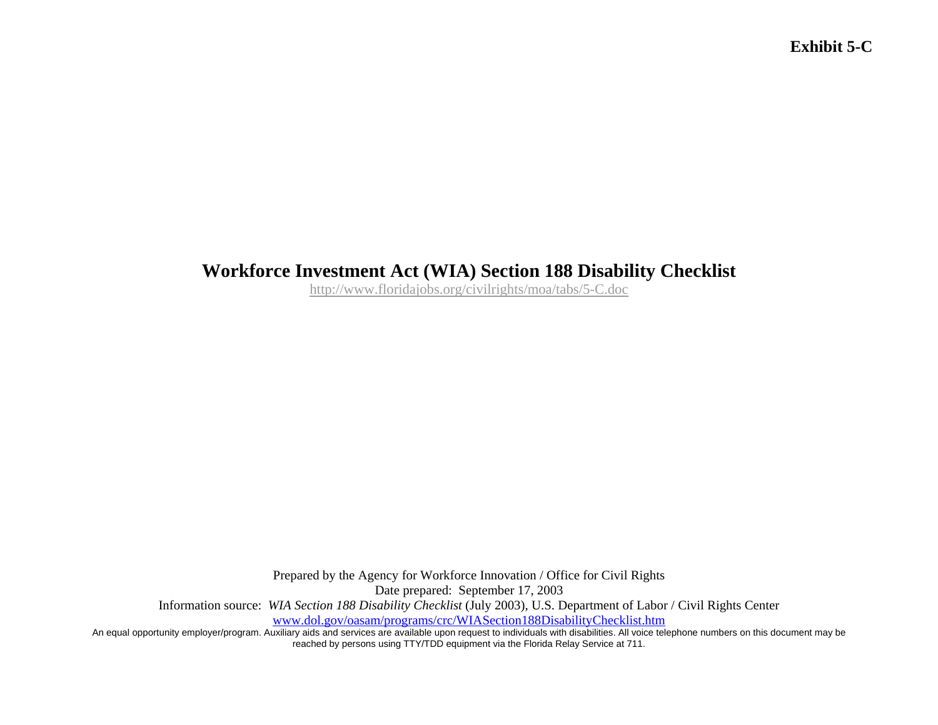## **Workforce Investment Act (WIA) Section 188 Disability Checklist**

http://www.floridajobs.org/civilrights/moa/tabs/5-C.doc

Prepared by the Agency for Workforce Innovation / Office for Civil Rights Date prepared: September 17, 2003 Information source: *WIA Section 188 Disability Checklist* (July 2003), U.S. Department of Labor / Civil Rights Center www.dol.gov/oasam/programs/crc/WIASection188DisabilityChecklist.htm

An equal opportunity employer/program. Auxiliary aids and services are available upon request to individuals with disabilities. All voice telephone numbers on this document may be reached by persons using TTY/TDD equipment via the Florida Relay Service at 711.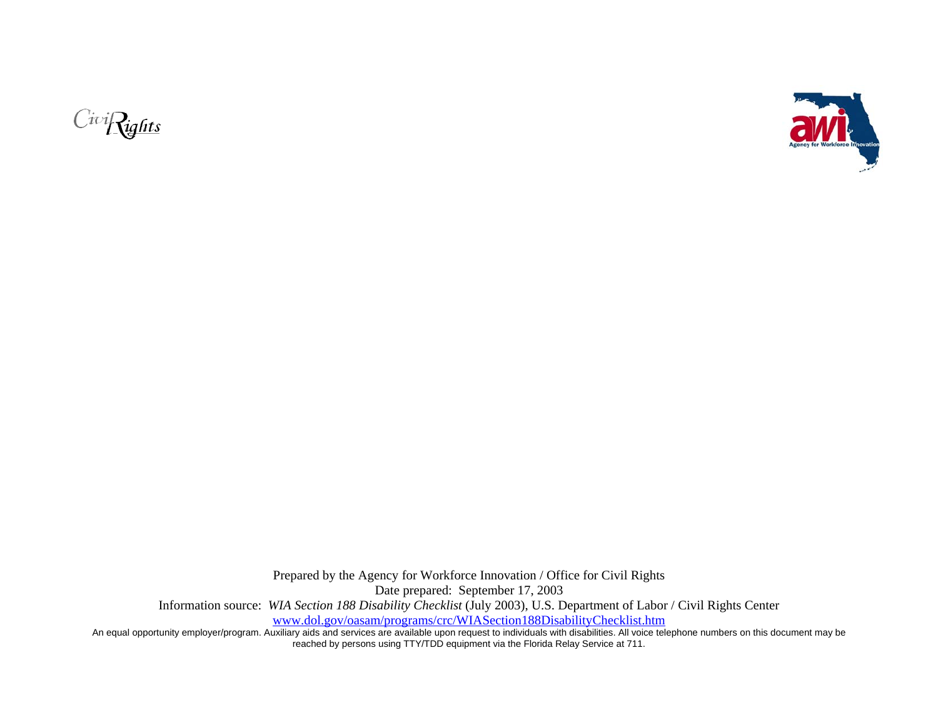



Prepared by the Agency for Workforce Innovation / Office for Civil Rights Date prepared: September 17, 2003 Information source: *WIA Section 188 Disability Checklist* (July 2003), U.S. Department of Labor / Civil Rights Center www.dol.gov/oasam/programs/crc/WIASection188DisabilityChecklist.htm

An equal opportunity employer/program. Auxiliary aids and services are available upon request to individuals with disabilities. All voice telephone numbers on this document may be reached by persons using TTY/TDD equipment via the Florida Relay Service at 711.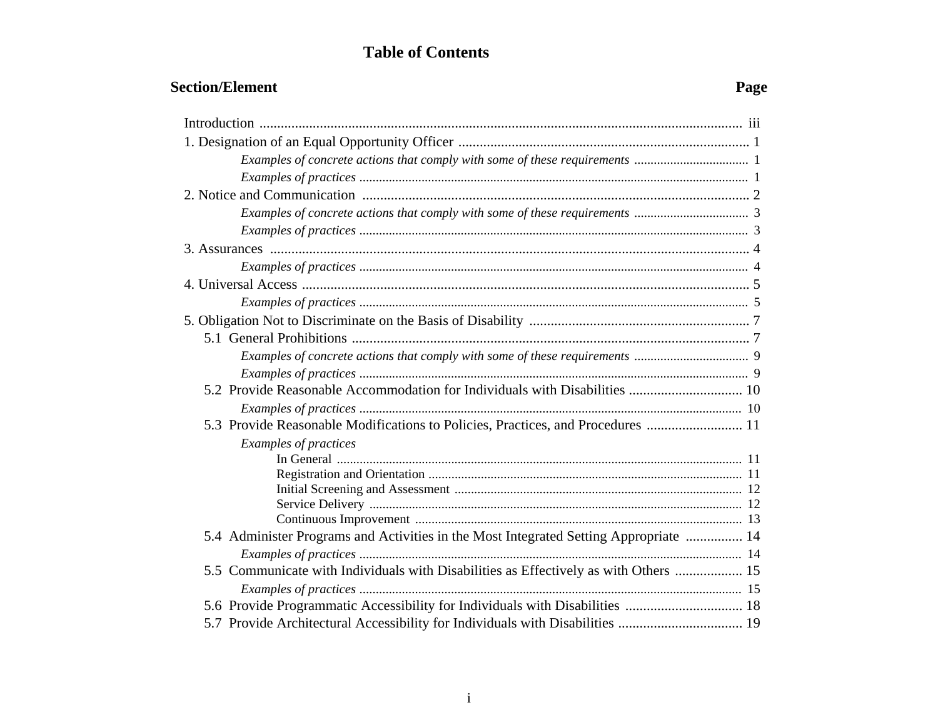## **Table of Contents**

## **Section/Element** Page

| 5.3 Provide Reasonable Modifications to Policies, Practices, and Procedures  11       |  |
|---------------------------------------------------------------------------------------|--|
| <b>Examples of practices</b>                                                          |  |
|                                                                                       |  |
|                                                                                       |  |
|                                                                                       |  |
|                                                                                       |  |
| 5.4 Administer Programs and Activities in the Most Integrated Setting Appropriate  14 |  |
|                                                                                       |  |
| 5.5 Communicate with Individuals with Disabilities as Effectively as with Others  15  |  |
|                                                                                       |  |
| 5.6 Provide Programmatic Accessibility for Individuals with Disabilities  18          |  |
| 5.7 Provide Architectural Accessibility for Individuals with Disabilities  19         |  |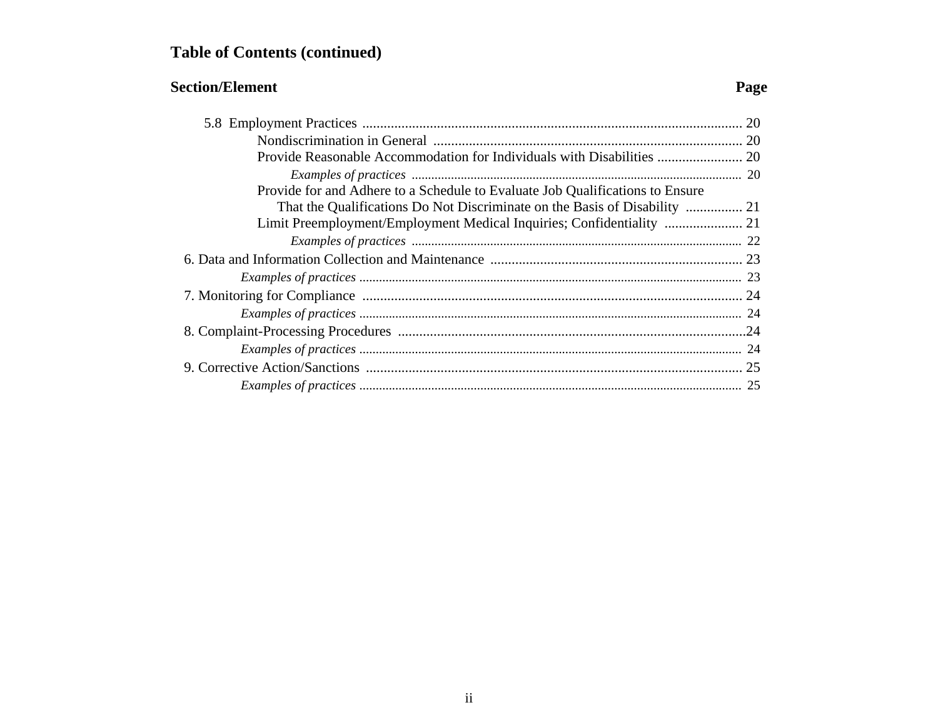# **Table of Contents (continued)**

## **Section/Element** Page

| Provide for and Adhere to a Schedule to Evaluate Job Qualifications to Ensure |    |
|-------------------------------------------------------------------------------|----|
| That the Qualifications Do Not Discriminate on the Basis of Disability  21    |    |
|                                                                               |    |
|                                                                               |    |
|                                                                               |    |
|                                                                               |    |
|                                                                               |    |
|                                                                               |    |
|                                                                               |    |
|                                                                               |    |
|                                                                               | 25 |
|                                                                               |    |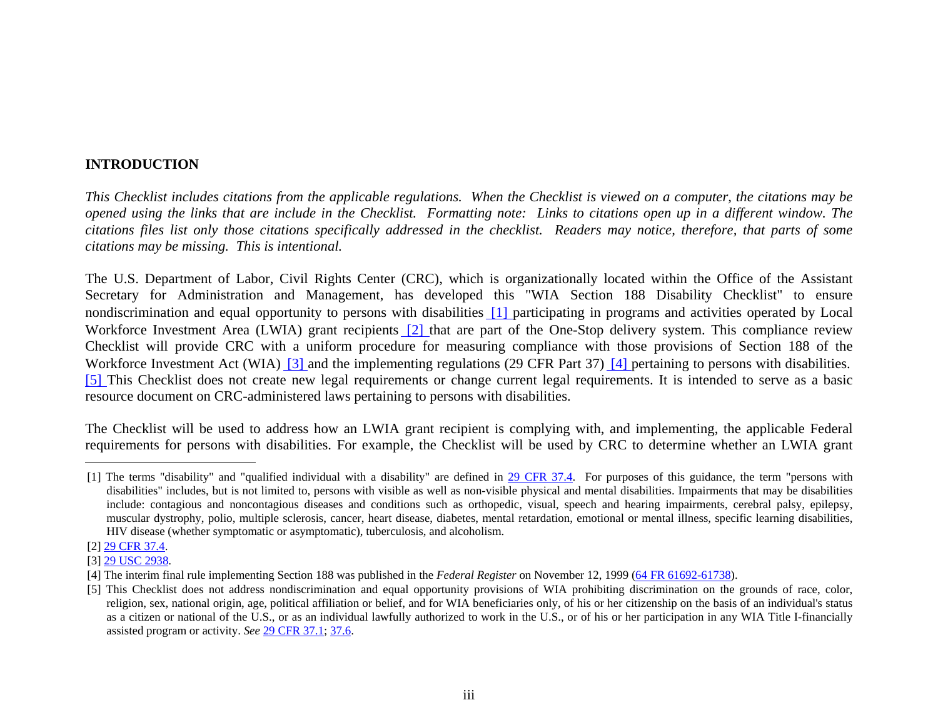#### **INTRODUCTION**

*This Checklist includes citations from the applicable regulations. When the Checklist is viewed on a computer, the citations may be opened using the links that are include in the Checklist. Formatting note: Links to citations open up in a different window. The citations files list only those citations specifically addressed in the checklist. Readers may notice, therefore, that parts of some citations may be missing. This is intentional.* 

The U.S. Department of Labor, Civil Rights Center (CRC), which is organizationally located within the Office of the Assistant Secretary for Administration and Management, has developed this "WIA Section 188 Disability Checklist" to ensure nondiscrimination and equal opportunity to persons with disabilities [1] participating in programs and activities operated by Local Workforce Investment Area (LWIA) grant recipients [2] that are part of the One-Stop delivery system. This compliance review Checklist will provide CRC with a uniform procedure for measuring compliance with those provisions of Section 188 of the Workforce Investment Act (WIA) [3] and the implementing regulations (29 CFR Part 37) [4] pertaining to persons with disabilities. [5] This Checklist does not create new legal requirements or change current legal requirements. It is intended to serve as a basic resource document on CRC-administered laws pertaining to persons with disabilities.

The Checklist will be used to address how an LWIA grant recipient is complying with, and implementing, the applicable Federal requirements for persons with disabilities. For example, the Checklist will be used by CRC to determine whether an LWIA grant

<sup>[1]</sup> The terms "disability" and "qualified individual with a disability" are defined in 29 CFR 37.4. For purposes of this guidance, the term "persons with disabilities" includes, but is not limited to, persons with visible as well as non-visible physical and mental disabilities. Impairments that may be disabilities include: contagious and noncontagious diseases and conditions such as orthopedic, visual, speech and hearing impairments, cerebral palsy, epilepsy, muscular dystrophy, polio, multiple sclerosis, cancer, heart disease, diabetes, mental retardation, emotional or mental illness, specific learning disabilities, HIV disease (whether symptomatic or asymptomatic), tuberculosis, and alcoholism.

<sup>[2] 29</sup> CFR 37.4.

<sup>[3] 29</sup> USC 2938.

<sup>[4]</sup> The interim final rule implementing Section 188 was published in the *Federal Register* on November 12, 1999 (64 FR 61692-61738).

<sup>[5]</sup> This Checklist does not address nondiscrimination and equal opportunity provisions of WIA prohibiting discrimination on the grounds of race, color, religion, sex, national origin, age, political affiliation or belief, and for WIA beneficiaries only, of his or her citizenship on the basis of an individual's status as a citizen or national of the U.S., or as an individual lawfully authorized to work in the U.S., or of his or her participation in any WIA Title I-financially assisted program or activity. *See* 29 CFR 37.1; 37.6.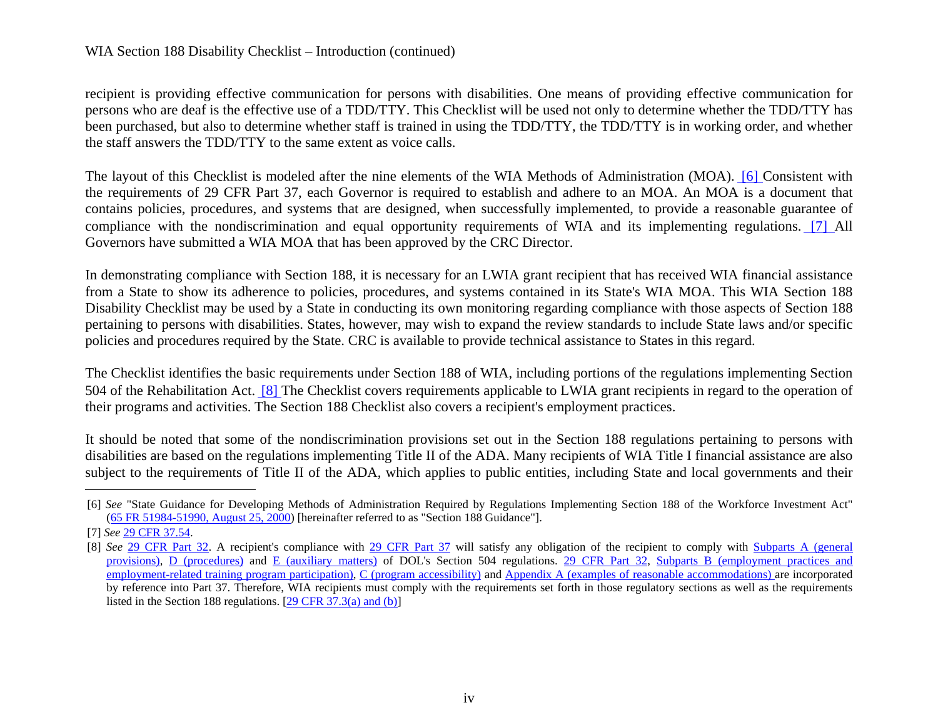#### WIA Section 188 Disability Checklist – Introduction (continued)

recipient is providing effective communication for persons with disabilities. One means of providing effective communication for persons who are deaf is the effective use of a TDD/TTY. This Checklist will be used not only to determine whether the TDD/TTY has been purchased, but also to determine whether staff is trained in using the TDD/TTY, the TDD/TTY is in working order, and whether the staff answers the TDD/TTY to the same extent as voice calls.

The layout of this Checklist is modeled after the nine elements of the WIA Methods of Administration (MOA). [6] Consistent with the requirements of 29 CFR Part 37, each Governor is required to establish and adhere to an MOA. An MOA is a document that contains policies, procedures, and systems that are designed, when successfully implemented, to provide a reasonable guarantee of compliance with the nondiscrimination and equal opportunity requirements of WIA and its implementing regulations. [7] All Governors have submitted a WIA MOA that has been approved by the CRC Director.

In demonstrating compliance with Section 188, it is necessary for an LWIA grant recipient that has received WIA financial assistance from a State to show its adherence to policies, procedures, and systems contained in its State's WIA MOA. This WIA Section 188 Disability Checklist may be used by a State in conducting its own monitoring regarding compliance with those aspects of Section 188 pertaining to persons with disabilities. States, however, may wish to expand the review standards to include State laws and/or specific policies and procedures required by the State. CRC is available to provide technical assistance to States in this regard.

The Checklist identifies the basic requirements under Section 188 of WIA, including portions of the regulations implementing Section 504 of the Rehabilitation Act. [8] The Checklist covers requirements applicable to LWIA grant recipients in regard to the operation of their programs and activities. The Section 188 Checklist also covers a recipient's employment practices.

It should be noted that some of the nondiscrimination provisions set out in the Section 188 regulations pertaining to persons with disabilities are based on the regulations implementing Title II of the ADA. Many recipients of WIA Title I financial assistance are also subject to the requirements of Title II of the ADA, which applies to public entities, including State and local governments and their

<sup>[6]</sup> *See* "State Guidance for Developing Methods of Administration Required by Regulations Implementing Section 188 of the Workforce Investment Act" (65 FR 51984-51990, August 25, 2000) [hereinafter referred to as "Section 188 Guidance"].

<sup>[7]</sup> *See* 29 CFR 37.54.

<sup>[8]</sup> *See* 29 CFR Part 32. A recipient's compliance with 29 CFR Part 37 will satisfy any obligation of the recipient to comply with Subparts A (general provisions), D (procedures) and E (auxiliary matters) of DOL's Section 504 regulations. 29 CFR Part 32, Subparts B (employment practices and employment-related training program participation), C (program accessibility) and Appendix A (examples of reasonable accommodations) are incorporated by reference into Part 37. Therefore, WIA recipients must comply with the requirements set forth in those regulatory sections as well as the requirements listed in the Section 188 regulations. [29 CFR 37.3(a) and (b)]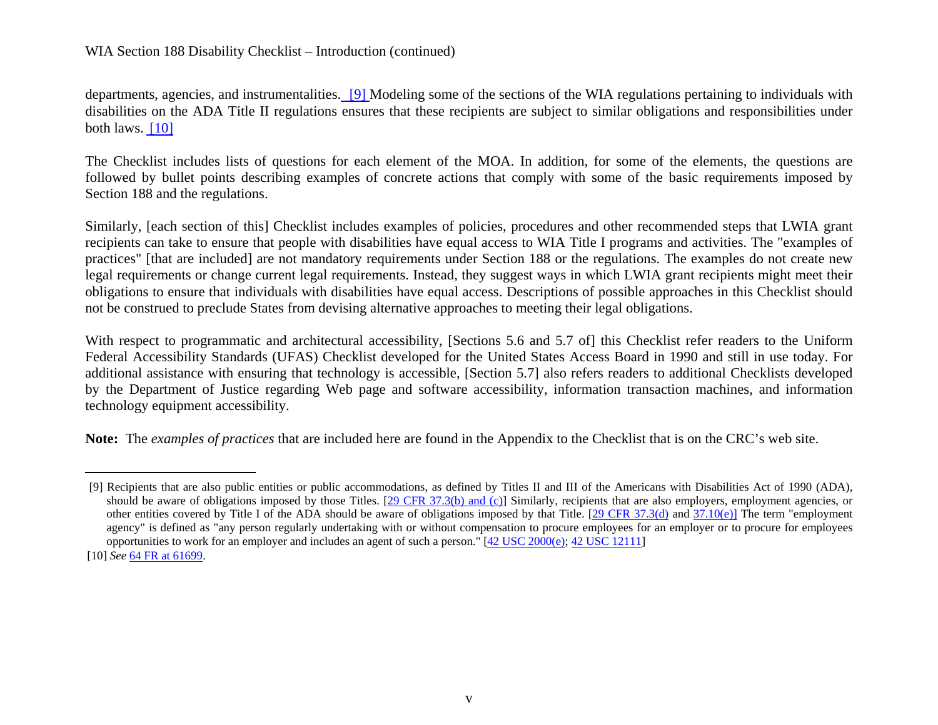departments, agencies, and instrumentalities. [9] Modeling some of the sections of the WIA regulations pertaining to individuals with disabilities on the ADA Title II regulations ensures that these recipients are subject to similar obligations and responsibilities under both laws. [10]

The Checklist includes lists of questions for each element of the MOA. In addition, for some of the elements, the questions are followed by bullet points describing examples of concrete actions that comply with some of the basic requirements imposed by Section 188 and the regulations.

Similarly, [each section of this] Checklist includes examples of policies, procedures and other recommended steps that LWIA grant recipients can take to ensure that people with disabilities have equal access to WIA Title I programs and activities. The "examples of practices" [that are included] are not mandatory requirements under Section 188 or the regulations. The examples do not create new legal requirements or change current legal requirements. Instead, they suggest ways in which LWIA grant recipients might meet their obligations to ensure that individuals with disabilities have equal access. Descriptions of possible approaches in this Checklist should not be construed to preclude States from devising alternative approaches to meeting their legal obligations.

With respect to programmatic and architectural accessibility, [Sections 5.6 and 5.7 of] this Checklist refer readers to the Uniform Federal Accessibility Standards (UFAS) Checklist developed for the United States Access Board in 1990 and still in use today. For additional assistance with ensuring that technology is accessible, [Section 5.7] also refers readers to additional Checklists developed by the Department of Justice regarding Web page and software accessibility, information transaction machines, and information technology equipment accessibility.

**Note:** The *examples of practices* that are included here are found in the Appendix to the Checklist that is on the CRC's web site.

<sup>[9]</sup> Recipients that are also public entities or public accommodations, as defined by Titles II and III of the Americans with Disabilities Act of 1990 (ADA), should be aware of obligations imposed by those Titles. [29 CFR 37.3(b) and (c)] Similarly, recipients that are also employers, employment agencies, or other entities covered by Title I of the ADA should be aware of obligations imposed by that Title. [29 CFR 37.3(d) and 37.10(e)] The term "employment agency" is defined as "any person regularly undertaking with or without compensation to procure employees for an employer or to procure for employees opportunities to work for an employer and includes an agent of such a person."  $[42 \text{ USC } 2000 \text{ (e)}; 42 \text{ USC } 12111]$ 

<sup>[10]</sup> *See* 64 FR at 61699.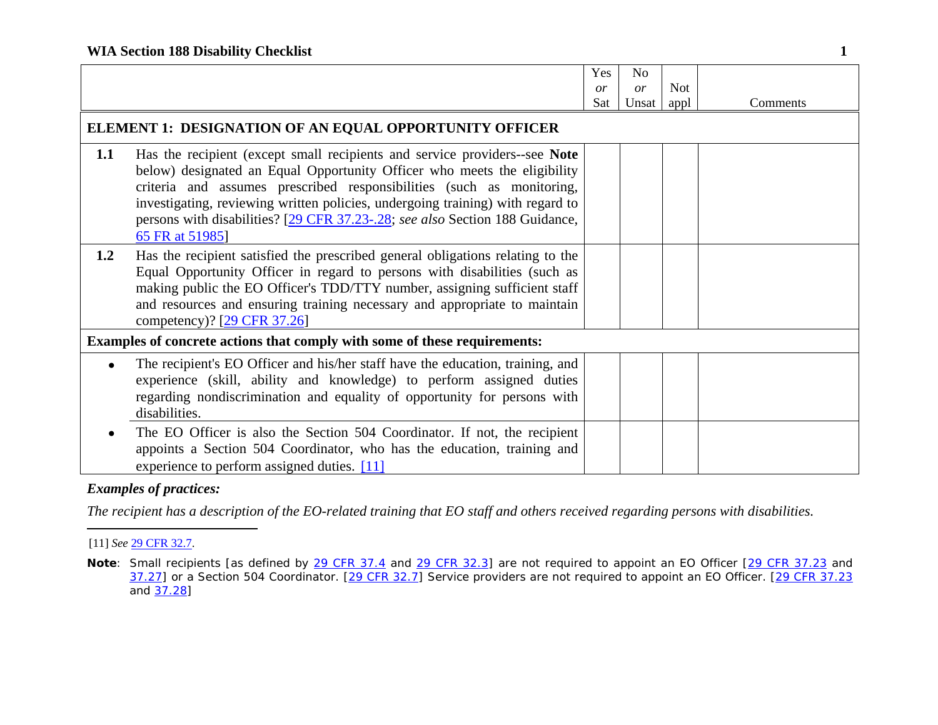|           |                                                                                                                                                                                                                                                                                                                                                                                                                     | Yes<br>or<br>Sat | No<br>or<br>Unsat | <b>Not</b><br>appl | Comments |
|-----------|---------------------------------------------------------------------------------------------------------------------------------------------------------------------------------------------------------------------------------------------------------------------------------------------------------------------------------------------------------------------------------------------------------------------|------------------|-------------------|--------------------|----------|
|           | ELEMENT 1: DESIGNATION OF AN EQUAL OPPORTUNITY OFFICER                                                                                                                                                                                                                                                                                                                                                              |                  |                   |                    |          |
| 1.1       | Has the recipient (except small recipients and service providers-see Note<br>below) designated an Equal Opportunity Officer who meets the eligibility<br>criteria and assumes prescribed responsibilities (such as monitoring,<br>investigating, reviewing written policies, undergoing training) with regard to<br>persons with disabilities? [29 CFR 37.23-.28; see also Section 188 Guidance,<br>65 FR at 51985] |                  |                   |                    |          |
| 1.2       | Has the recipient satisfied the prescribed general obligations relating to the<br>Equal Opportunity Officer in regard to persons with disabilities (such as<br>making public the EO Officer's TDD/TTY number, assigning sufficient staff<br>and resources and ensuring training necessary and appropriate to maintain<br>competency)? [29 CFR 37.26]                                                                |                  |                   |                    |          |
|           | Examples of concrete actions that comply with some of these requirements:                                                                                                                                                                                                                                                                                                                                           |                  |                   |                    |          |
| $\bullet$ | The recipient's EO Officer and his/her staff have the education, training, and<br>experience (skill, ability and knowledge) to perform assigned duties<br>regarding nondiscrimination and equality of opportunity for persons with<br>disabilities.                                                                                                                                                                 |                  |                   |                    |          |
|           | The EO Officer is also the Section 504 Coordinator. If not, the recipient<br>appoints a Section 504 Coordinator, who has the education, training and<br>experience to perform assigned duties. [11]                                                                                                                                                                                                                 |                  |                   |                    |          |

*The recipient has a description of the EO-related training that EO staff and others received regarding persons with disabilities.* 

<sup>[11]</sup> *See* 29 CFR 32.7.

**Note**: Small recipients [as defined by 29 CFR 37.4 and 29 CFR 32.3] are not required to appoint an EO Officer [29 CFR 37.23 and <u>37.27</u>] or a Section 504 Coordinator. [<u>29 CFR 32.7</u>] Service providers are not required to appoint an EO Officer. [<u>29 CFR 37.23</u> and 37.28]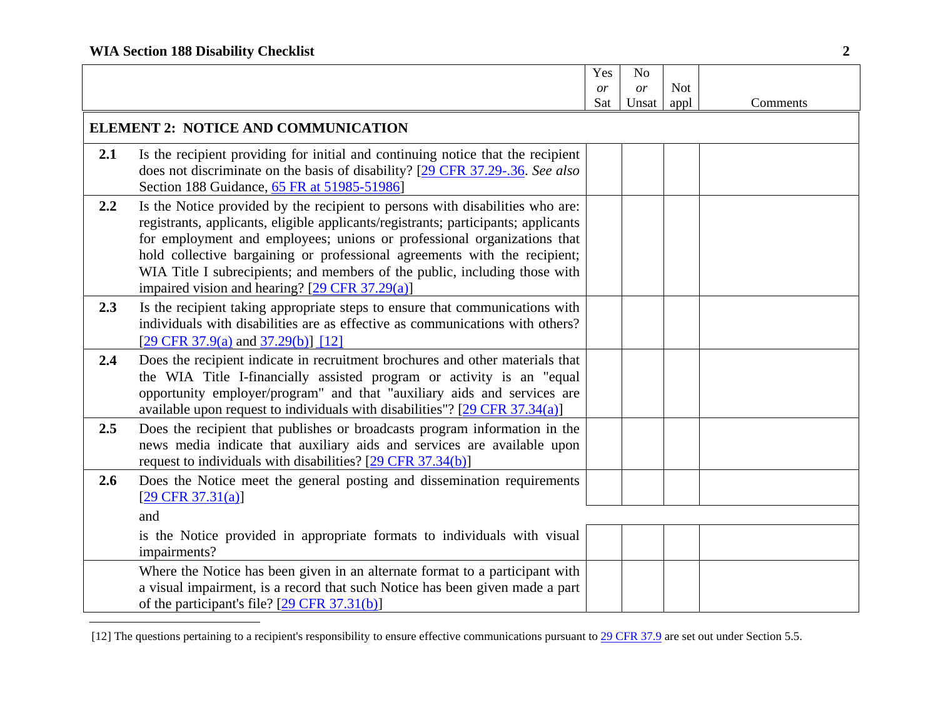|     |                                                                                                                                                                                                                                                                                                                                                                                                                                                             | Yes | N <sub>o</sub> |            |          |
|-----|-------------------------------------------------------------------------------------------------------------------------------------------------------------------------------------------------------------------------------------------------------------------------------------------------------------------------------------------------------------------------------------------------------------------------------------------------------------|-----|----------------|------------|----------|
|     |                                                                                                                                                                                                                                                                                                                                                                                                                                                             | or  | <i>or</i>      | <b>Not</b> |          |
|     |                                                                                                                                                                                                                                                                                                                                                                                                                                                             | Sat | Unsat          | appl       | Comments |
|     | <b>ELEMENT 2: NOTICE AND COMMUNICATION</b>                                                                                                                                                                                                                                                                                                                                                                                                                  |     |                |            |          |
| 2.1 | Is the recipient providing for initial and continuing notice that the recipient<br>does not discriminate on the basis of disability? [29 CFR 37.29-.36. See also<br>Section 188 Guidance, 65 FR at 51985-51986]                                                                                                                                                                                                                                             |     |                |            |          |
| 2.2 | Is the Notice provided by the recipient to persons with disabilities who are:<br>registrants, applicants, eligible applicants/registrants; participants; applicants<br>for employment and employees; unions or professional organizations that<br>hold collective bargaining or professional agreements with the recipient;<br>WIA Title I subrecipients; and members of the public, including those with<br>impaired vision and hearing? [29 CFR 37.29(a)] |     |                |            |          |
| 2.3 | Is the recipient taking appropriate steps to ensure that communications with<br>individuals with disabilities are as effective as communications with others?<br>[29 CFR 37.9(a) and 37.29(b)] [12]                                                                                                                                                                                                                                                         |     |                |            |          |
| 2.4 | Does the recipient indicate in recruitment brochures and other materials that<br>the WIA Title I-financially assisted program or activity is an "equal<br>opportunity employer/program" and that "auxiliary aids and services are<br>available upon request to individuals with disabilities"? $[29 \text{ CFR } 37.34(a)]$                                                                                                                                 |     |                |            |          |
| 2.5 | Does the recipient that publishes or broadcasts program information in the<br>news media indicate that auxiliary aids and services are available upon<br>request to individuals with disabilities? [29 CFR 37.34(b)]                                                                                                                                                                                                                                        |     |                |            |          |
| 2.6 | Does the Notice meet the general posting and dissemination requirements<br>$[29 \text{ CFR } 37.31(a)]$                                                                                                                                                                                                                                                                                                                                                     |     |                |            |          |
|     | and                                                                                                                                                                                                                                                                                                                                                                                                                                                         |     |                |            |          |
|     | is the Notice provided in appropriate formats to individuals with visual<br>impairments?                                                                                                                                                                                                                                                                                                                                                                    |     |                |            |          |
|     | Where the Notice has been given in an alternate format to a participant with<br>a visual impairment, is a record that such Notice has been given made a part<br>of the participant's file? [29 CFR 37.31(b)]                                                                                                                                                                                                                                                |     |                |            |          |

<sup>[12]</sup> The questions pertaining to a recipient's responsibility to ensure effective communications pursuant to 29 CFR 37.9 are set out under Section 5.5.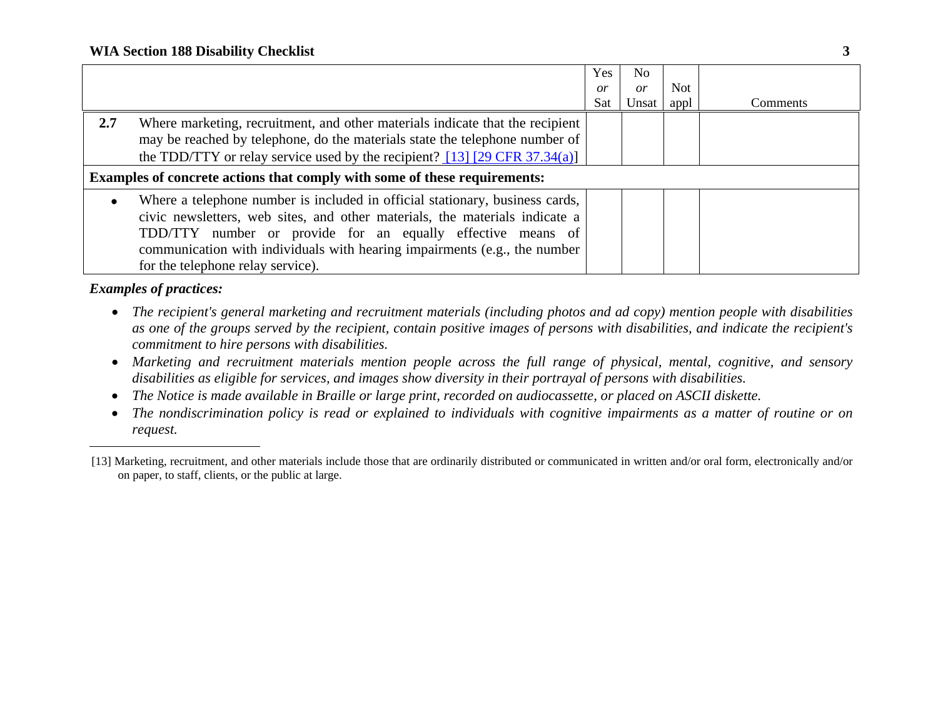|     |                                                                                                                                                                                                                                                                                                                                              | Yes<br>$\overline{or}$<br>Sat | No<br>or<br>Unsat | Not<br>appl | Comments |  |
|-----|----------------------------------------------------------------------------------------------------------------------------------------------------------------------------------------------------------------------------------------------------------------------------------------------------------------------------------------------|-------------------------------|-------------------|-------------|----------|--|
| 2.7 | Where marketing, recruitment, and other materials indicate that the recipient<br>may be reached by telephone, do the materials state the telephone number of<br>the TDD/TTY or relay service used by the recipient? $[13]$ $[29$ CFR 37.34(a)]                                                                                               |                               |                   |             |          |  |
|     | <b>Examples of concrete actions that comply with some of these requirements:</b>                                                                                                                                                                                                                                                             |                               |                   |             |          |  |
|     | Where a telephone number is included in official stationary, business cards,<br>civic newsletters, web sites, and other materials, the materials indicate a<br>TDD/TTY number or provide for an equally effective means of<br>communication with individuals with hearing impairments (e.g., the number<br>for the telephone relay service). |                               |                   |             |          |  |

- *The recipient's general marketing and recruitment materials (including photos and ad copy) mention people with disabilities as one of the groups served by the recipient, contain positive images of persons with disabilities, and indicate the recipient's commitment to hire persons with disabilities.*
- *Marketing and recruitment materials mention people across the full range of physical, mental, cognitive, and sensory disabilities as eligible for services, and images show diversity in their portrayal of persons with disabilities.*
- **•** The Notice is made available in Braille or large print, recorded on audiocassette, or placed on ASCII diskette.
- *The nondiscrimination policy is read or explained to individuals with cognitive impairments as a matter of routine or on request.*

<sup>[13]</sup> Marketing, recruitment, and other materials include those that are ordinarily distributed or communicated in written and/or oral form, electronically and/or on paper, to staff, clients, or the public at large.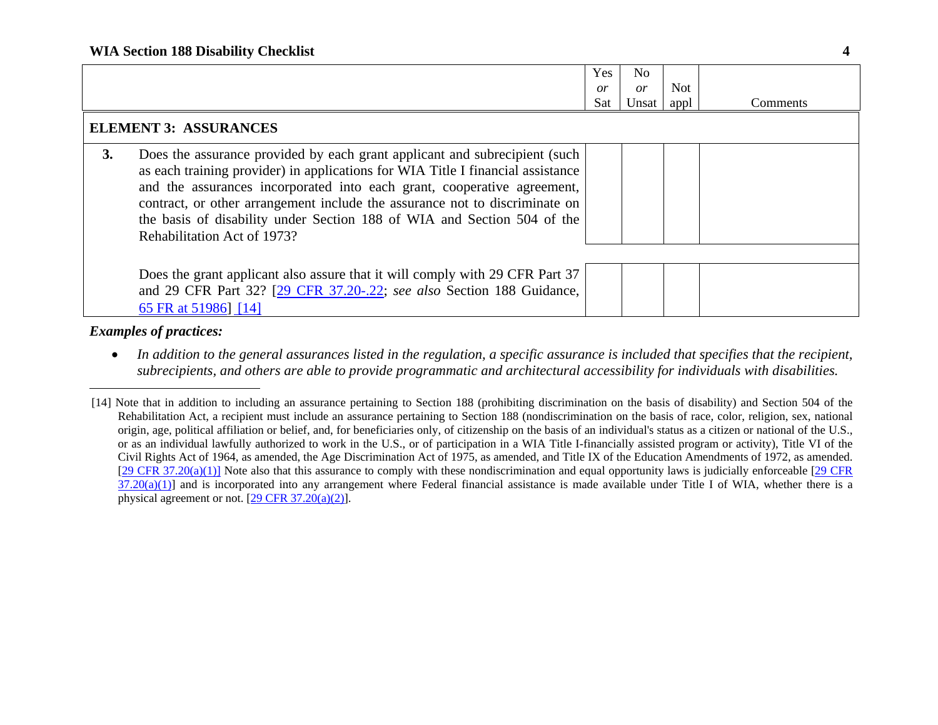|    |                                                                                                                                                                                                                                                                                                                                                                                                                                   | <b>Yes</b><br>or<br>Sat. | No<br>or<br>Unsat | <b>Not</b><br>appl | Comments |
|----|-----------------------------------------------------------------------------------------------------------------------------------------------------------------------------------------------------------------------------------------------------------------------------------------------------------------------------------------------------------------------------------------------------------------------------------|--------------------------|-------------------|--------------------|----------|
|    | <b>ELEMENT 3: ASSURANCES</b>                                                                                                                                                                                                                                                                                                                                                                                                      |                          |                   |                    |          |
| 3. | Does the assurance provided by each grant applicant and subrecipient (such<br>as each training provider) in applications for WIA Title I financial assistance<br>and the assurances incorporated into each grant, cooperative agreement,<br>contract, or other arrangement include the assurance not to discriminate on<br>the basis of disability under Section 188 of WIA and Section 504 of the<br>Rehabilitation Act of 1973? |                          |                   |                    |          |
|    | Does the grant applicant also assure that it will comply with 29 CFR Part 37<br>and 29 CFR Part 32? [29 CFR 37.20-.22; see also Section 188 Guidance,<br>65 FR at 51986] [14]                                                                                                                                                                                                                                                     |                          |                   |                    |          |

 $\bullet$  *In addition to the general assurances listed in the regulation, a specific assurance is included that specifies that the recipient, subrecipients, and others are able to provide programmatic and architectural accessibility for individuals with disabilities.* 

<sup>[14]</sup> Note that in addition to including an assurance pertaining to Section 188 (prohibiting discrimination on the basis of disability) and Section 504 of the Rehabilitation Act, a recipient must include an assurance pertaining to Section 188 (nondiscrimination on the basis of race, color, religion, sex, national origin, age, political affiliation or belief, and, for beneficiaries only, of citizenship on the basis of an individual's status as a citizen or national of the U.S., or as an individual lawfully authorized to work in the U.S., or of participation in a WIA Title I-financially assisted program or activity), Title VI of the Civil Rights Act of 1964, as amended, the Age Discrimination Act of 1975, as amended, and Title IX of the Education Amendments of 1972, as amended.  $[29 \text{CFR } 37.20(a)(1)]$  Note also that this assurance to comply with these nondiscrimination and equal opportunity laws is judicially enforceable  $[29 \text{CFR } ]$  $37.20(a)(1)$ ] and is incorporated into any arrangement where Federal financial assistance is made available under Title I of WIA, whether there is a physical agreement or not. [29 CFR 37.20(a)(2)].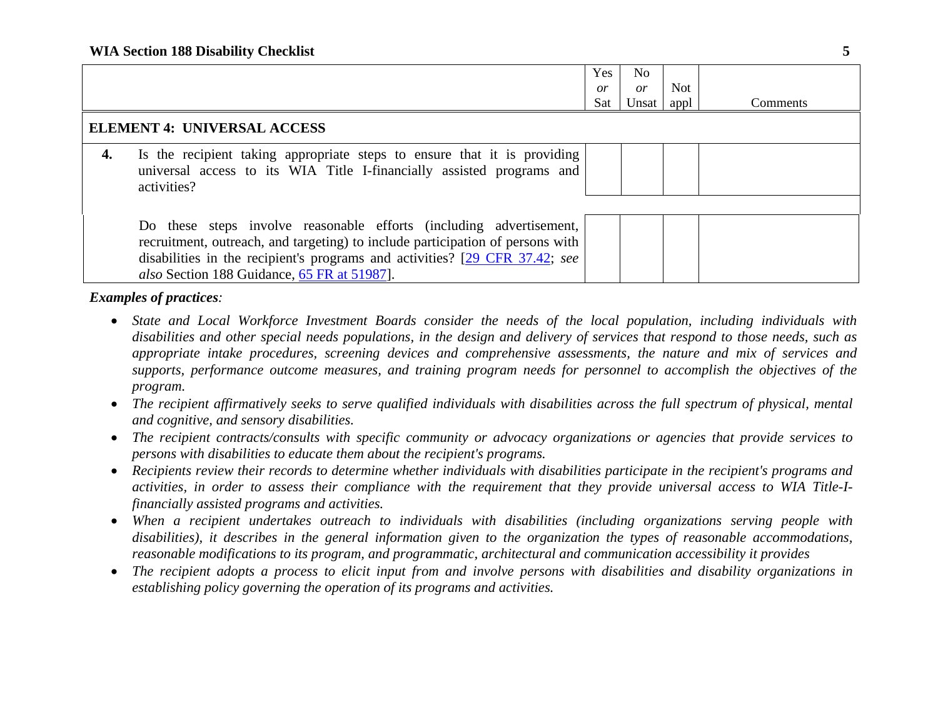|                                    |                                                                                                                                                                                                                                                                                     | <b>Yes</b><br>$\overline{or}$<br>Sat | No<br><i>or</i><br>Unsat | Not<br>appl | Comments |
|------------------------------------|-------------------------------------------------------------------------------------------------------------------------------------------------------------------------------------------------------------------------------------------------------------------------------------|--------------------------------------|--------------------------|-------------|----------|
| <b>ELEMENT 4: UNIVERSAL ACCESS</b> |                                                                                                                                                                                                                                                                                     |                                      |                          |             |          |
| 4.                                 | Is the recipient taking appropriate steps to ensure that it is providing<br>universal access to its WIA Title I-financially assisted programs and<br>activities?                                                                                                                    |                                      |                          |             |          |
|                                    | Do these steps involve reasonable efforts (including advertisement,<br>recruitment, outreach, and targeting) to include participation of persons with<br>disabilities in the recipient's programs and activities? [29 CFR 37.42; see<br>also Section 188 Guidance, 65 FR at 51987]. |                                      |                          |             |          |

- *State and Local Workforce Investment Boards consider the needs of the local population, including individuals with disabilities and other special needs populations, in the design and delivery of services that respond to those needs, such as appropriate intake procedures, screening devices and comprehensive assessments, the nature and mix of services and supports, performance outcome measures, and training program needs for personnel to accomplish the objectives of the program.*
- **•** The recipient affirmatively seeks to serve qualified individuals with disabilities across the full spectrum of physical, mental *and cognitive, and sensory disabilities.*
- *The recipient contracts/consults with specific community or advocacy organizations or agencies that provide services to persons with disabilities to educate them about the recipient's programs.*
- *Recipients review their records to determine whether individuals with disabilities participate in the recipient's programs and activities, in order to assess their compliance with the requirement that they provide universal access to WIA Title-Ifinancially assisted programs and activities.*
- *When a recipient undertakes outreach to individuals with disabilities (including organizations serving people with disabilities), it describes in the general information given to the organization the types of reasonable accommodations, reasonable modifications to its program, and programmatic, architectural and communication accessibility it provides*
- 0 *The recipient adopts a process to elicit input from and involve persons with disabilities and disability organizations in establishing policy governing the operation of its programs and activities.*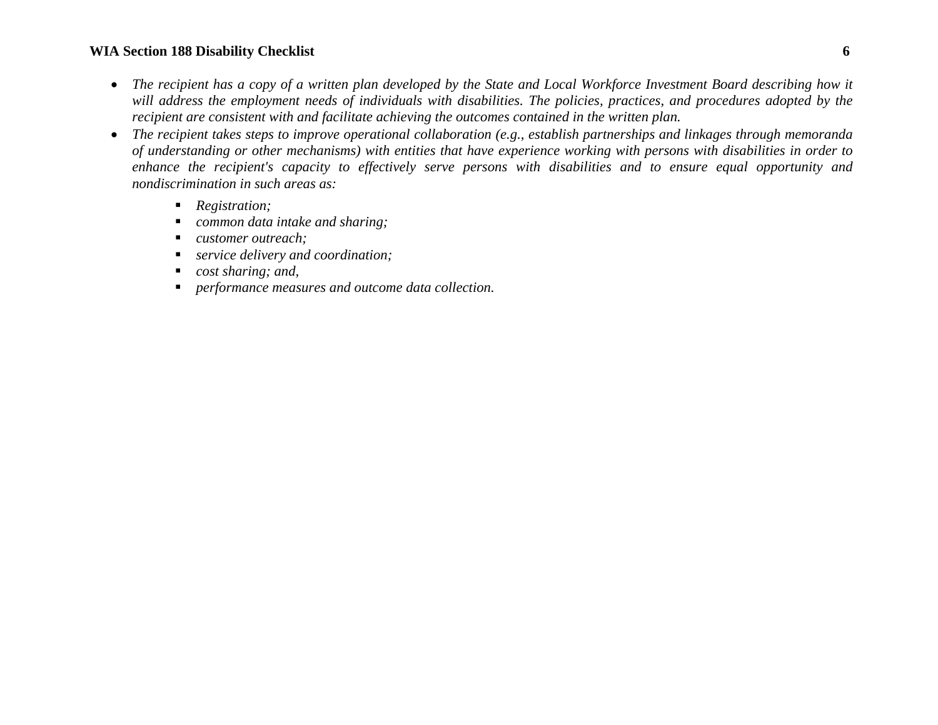#### **WIA Section 188 Disability Checklist 6**

- **•** The recipient has a copy of a written plan developed by the State and Local Workforce Investment Board describing how it *will address the employment needs of individuals with disabilities. The policies, practices, and procedures adopted by the recipient are consistent with and facilitate achieving the outcomes contained in the written plan.*
- *The recipient takes steps to improve operational collaboration (e.g., establish partnerships and linkages through memoranda of understanding or other mechanisms) with entities that have experience working with persons with disabilities in order to enhance the recipient's capacity to effectively serve persons with disabilities and to ensure equal opportunity and nondiscrimination in such areas as:* 
	- *Registration;*
	- *common data intake and sharing;*
	- *customer outreach;*
	- *service delivery and coordination;*
	- n *cost sharing; and,*
	- *performance measures and outcome data collection.*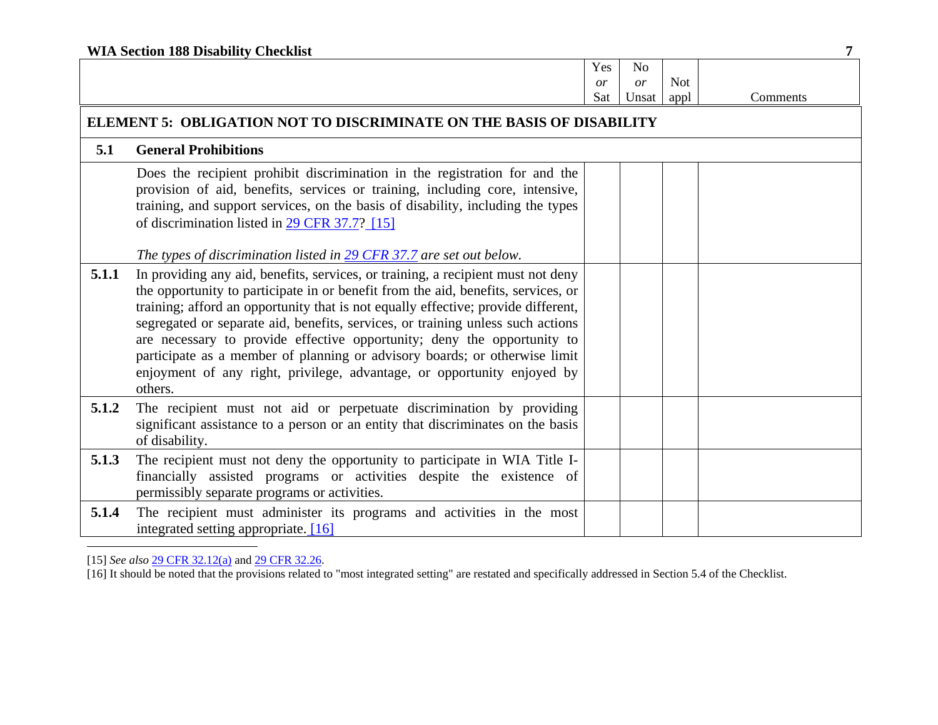| <b>WIA Section 188 Disability Checklist</b> |                                                                                                                                                                                                                                                                                                                                                                                                                                                                                                                                                                                              |     |       |            |          |
|---------------------------------------------|----------------------------------------------------------------------------------------------------------------------------------------------------------------------------------------------------------------------------------------------------------------------------------------------------------------------------------------------------------------------------------------------------------------------------------------------------------------------------------------------------------------------------------------------------------------------------------------------|-----|-------|------------|----------|
|                                             |                                                                                                                                                                                                                                                                                                                                                                                                                                                                                                                                                                                              | Yes | No    |            |          |
|                                             |                                                                                                                                                                                                                                                                                                                                                                                                                                                                                                                                                                                              | or  | or    | <b>Not</b> |          |
|                                             |                                                                                                                                                                                                                                                                                                                                                                                                                                                                                                                                                                                              | Sat | Unsat | appl       | Comments |
|                                             | ELEMENT 5: OBLIGATION NOT TO DISCRIMINATE ON THE BASIS OF DISABILITY                                                                                                                                                                                                                                                                                                                                                                                                                                                                                                                         |     |       |            |          |
| 5.1                                         | <b>General Prohibitions</b>                                                                                                                                                                                                                                                                                                                                                                                                                                                                                                                                                                  |     |       |            |          |
|                                             | Does the recipient prohibit discrimination in the registration for and the<br>provision of aid, benefits, services or training, including core, intensive,<br>training, and support services, on the basis of disability, including the types<br>of discrimination listed in 29 CFR 37.7? [15]<br>The types of discrimination listed in 29 CFR 37.7 are set out below.                                                                                                                                                                                                                       |     |       |            |          |
| 5.1.1                                       | In providing any aid, benefits, services, or training, a recipient must not deny<br>the opportunity to participate in or benefit from the aid, benefits, services, or<br>training; afford an opportunity that is not equally effective; provide different,<br>segregated or separate aid, benefits, services, or training unless such actions<br>are necessary to provide effective opportunity; deny the opportunity to<br>participate as a member of planning or advisory boards; or otherwise limit<br>enjoyment of any right, privilege, advantage, or opportunity enjoyed by<br>others. |     |       |            |          |
| 5.1.2                                       | The recipient must not aid or perpetuate discrimination by providing<br>significant assistance to a person or an entity that discriminates on the basis<br>of disability.                                                                                                                                                                                                                                                                                                                                                                                                                    |     |       |            |          |
| 5.1.3                                       | The recipient must not deny the opportunity to participate in WIA Title I-<br>financially assisted programs or activities despite the existence of<br>permissibly separate programs or activities.                                                                                                                                                                                                                                                                                                                                                                                           |     |       |            |          |
| 5.1.4                                       | The recipient must administer its programs and activities in the most<br>integrated setting appropriate [16]                                                                                                                                                                                                                                                                                                                                                                                                                                                                                 |     |       |            |          |

[15] *See also* 29 CFR 32.12(a) and 29 CFR 32.26.

[16] It should be noted that the provisions related to "most integrated setting" are restated and specifically addressed in Section 5.4 of the Checklist.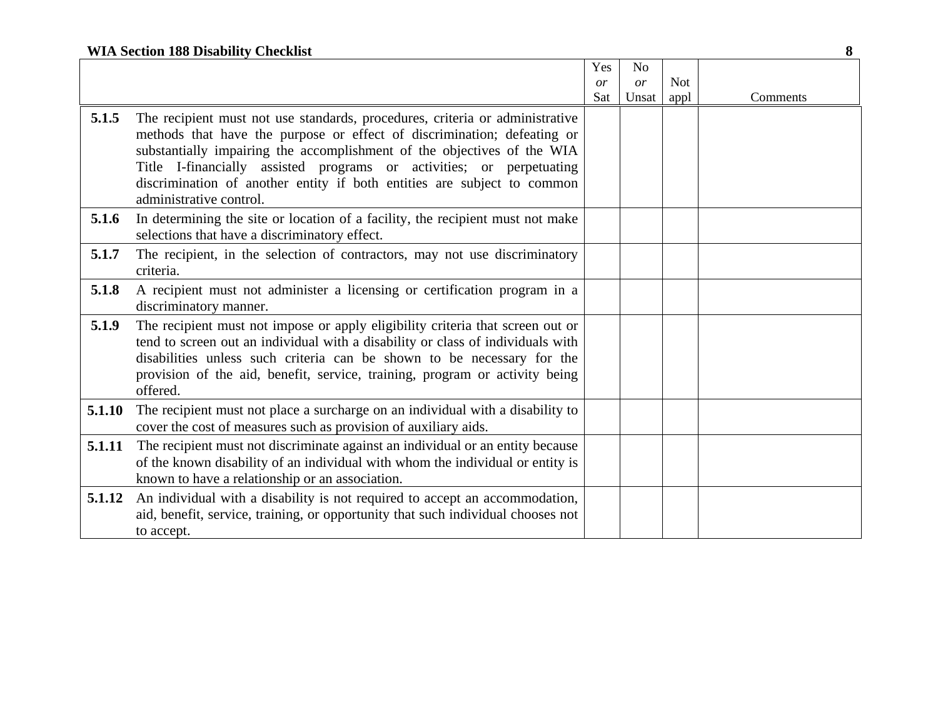## **WIA Section 188 Disability Checklist 8**

|        |                                                                                                                                                                   | Yes | N <sub>o</sub> |            |          |
|--------|-------------------------------------------------------------------------------------------------------------------------------------------------------------------|-----|----------------|------------|----------|
|        |                                                                                                                                                                   | or  | or             | <b>Not</b> |          |
|        |                                                                                                                                                                   | Sat | Unsat          | appl       | Comments |
| 5.1.5  | The recipient must not use standards, procedures, criteria or administrative<br>methods that have the purpose or effect of discrimination; defeating or           |     |                |            |          |
|        | substantially impairing the accomplishment of the objectives of the WIA<br>Title I-financially assisted programs or activities; or perpetuating                   |     |                |            |          |
|        | discrimination of another entity if both entities are subject to common<br>administrative control.                                                                |     |                |            |          |
| 5.1.6  | In determining the site or location of a facility, the recipient must not make<br>selections that have a discriminatory effect.                                   |     |                |            |          |
| 5.1.7  | The recipient, in the selection of contractors, may not use discriminatory<br>criteria.                                                                           |     |                |            |          |
| 5.1.8  | A recipient must not administer a licensing or certification program in a<br>discriminatory manner.                                                               |     |                |            |          |
| 5.1.9  | The recipient must not impose or apply eligibility criteria that screen out or<br>tend to screen out an individual with a disability or class of individuals with |     |                |            |          |
|        | disabilities unless such criteria can be shown to be necessary for the                                                                                            |     |                |            |          |
|        | provision of the aid, benefit, service, training, program or activity being<br>offered.                                                                           |     |                |            |          |
| 5.1.10 | The recipient must not place a surcharge on an individual with a disability to<br>cover the cost of measures such as provision of auxiliary aids.                 |     |                |            |          |
| 5.1.11 | The recipient must not discriminate against an individual or an entity because<br>of the known disability of an individual with whom the individual or entity is  |     |                |            |          |
|        | known to have a relationship or an association.                                                                                                                   |     |                |            |          |
| 5.1.12 | An individual with a disability is not required to accept an accommodation,                                                                                       |     |                |            |          |
|        | aid, benefit, service, training, or opportunity that such individual chooses not<br>to accept.                                                                    |     |                |            |          |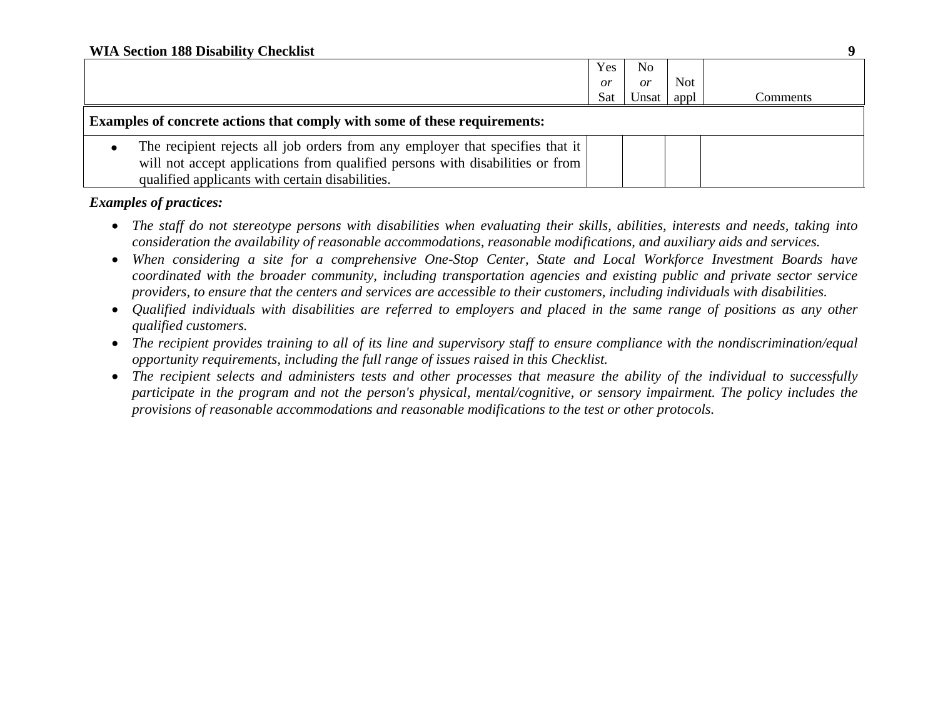|                                                                                                                                                                                                                   | Yes | N <sub>o</sub> |            |          |  |  |
|-------------------------------------------------------------------------------------------------------------------------------------------------------------------------------------------------------------------|-----|----------------|------------|----------|--|--|
|                                                                                                                                                                                                                   | or  | or             | <b>Not</b> |          |  |  |
|                                                                                                                                                                                                                   | Sat | Unsat          | appl       | Comments |  |  |
| <b>Examples of concrete actions that comply with some of these requirements:</b>                                                                                                                                  |     |                |            |          |  |  |
| The recipient rejects all job orders from any employer that specifies that it<br>will not accept applications from qualified persons with disabilities or from<br>qualified applicants with certain disabilities. |     |                |            |          |  |  |

- *The staff do not stereotype persons with disabilities when evaluating their skills, abilities, interests and needs, taking into consideration the availability of reasonable accommodations, reasonable modifications, and auxiliary aids and services.*
- *When considering a site for a comprehensive One-Stop Center, State and Local Workforce Investment Boards have coordinated with the broader community, including transportation agencies and existing public and private sector service providers, to ensure that the centers and services are accessible to their customers, including individuals with disabilities.*
- *Qualified individuals with disabilities are referred to employers and placed in the same range of positions as any other qualified customers.*
- *The recipient provides training to all of its line and supervisory staff to ensure compliance with the nondiscrimination/equal opportunity requirements, including the full range of issues raised in this Checklist.*
- *The recipient selects and administers tests and other processes that measure the ability of the individual to successfully participate in the program and not the person's physical, mental/cognitive, or sensory impairment. The policy includes the provisions of reasonable accommodations and reasonable modifications to the test or other protocols.*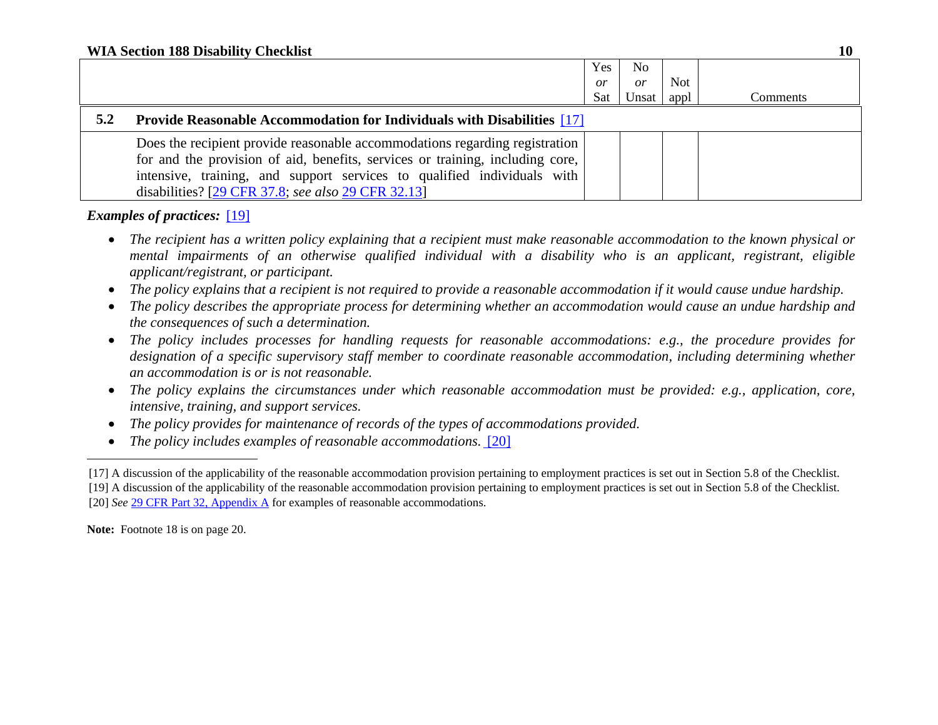|     |                                                                                                                                                              | <b>Yes</b>      | No    |      |          |
|-----|--------------------------------------------------------------------------------------------------------------------------------------------------------------|-----------------|-------|------|----------|
|     |                                                                                                                                                              | $\overline{or}$ | or    | Not. |          |
|     |                                                                                                                                                              | Sat             | Unsat | appl | Comments |
| 5.2 | <b>Provide Reasonable Accommodation for Individuals with Disabilities</b> [17]                                                                               |                 |       |      |          |
|     | Does the recipient provide reasonable accommodations regarding registration<br>for and the provision of aid, benefits, services or training, including core, |                 |       |      |          |
|     | intensive, training, and support services to qualified individuals with                                                                                      |                 |       |      |          |
|     | disabilities? [29 CFR 37.8; see also 29 CFR 32.13]                                                                                                           |                 |       |      |          |

## *Examples of practices:* [19]

- *The recipient has a written policy explaining that a recipient must make reasonable accommodation to the known physical or mental impairments of an otherwise qualified individual with a disability who is an applicant, registrant, eligible applicant/registrant, or participant.*
- 0 *The policy explains that a recipient is not required to provide a reasonable accommodation if it would cause undue hardship.*
- $\bullet$  *The policy describes the appropriate process for determining whether an accommodation would cause an undue hardship and the consequences of such a determination.*
- *The policy includes processes for handling requests for reasonable accommodations: e.g., the procedure provides for designation of a specific supervisory staff member to coordinate reasonable accommodation, including determining whether an accommodation is or is not reasonable.*
- *The policy explains the circumstances under which reasonable accommodation must be provided: e.g., application, core, intensive, training, and support services.*
- $\bullet$ *The policy provides for maintenance of records of the types of accommodations provided.*
- $\bullet$ *The policy includes examples of reasonable accommodations.* [20]

**Note:** Footnote 18 is on page 20.

<sup>[17]</sup> A discussion of the applicability of the reasonable accommodation provision pertaining to employment practices is set out in Section 5.8 of the Checklist. [19] A discussion of the applicability of the reasonable accommodation provision pertaining to employment practices is set out in Section 5.8 of the Checklist. [20] *See* 29 CFR Part 32, Appendix A for examples of reasonable accommodations.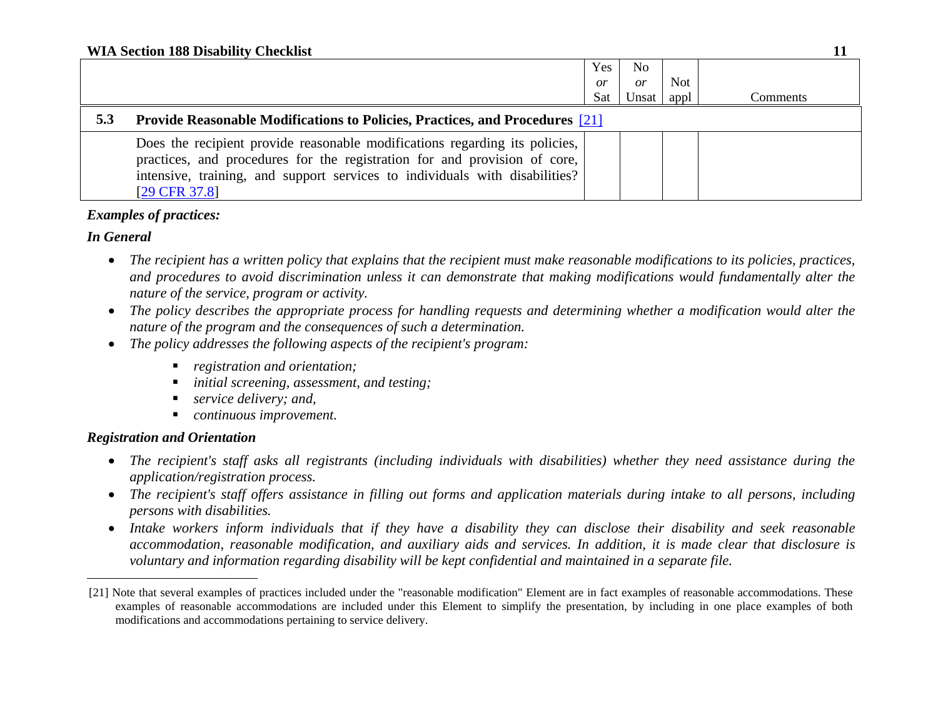|     |                                                                                                                                                                                                                                                          | Yes       | No        |      |          |  |
|-----|----------------------------------------------------------------------------------------------------------------------------------------------------------------------------------------------------------------------------------------------------------|-----------|-----------|------|----------|--|
|     |                                                                                                                                                                                                                                                          | <i>or</i> | <i>or</i> | Not  |          |  |
|     |                                                                                                                                                                                                                                                          | Sat       | Unsat     | appl | Comments |  |
| 5.3 | <b>Provide Reasonable Modifications to Policies, Practices, and Procedures</b> [21]                                                                                                                                                                      |           |           |      |          |  |
|     | Does the recipient provide reasonable modifications regarding its policies,<br>practices, and procedures for the registration for and provision of core,<br>intensive, training, and support services to individuals with disabilities?<br>[29 CFR 37.8] |           |           |      |          |  |

## *In General*

- *The recipient has a written policy that explains that the recipient must make reasonable modifications to its policies, practices, and procedures to avoid discrimination unless it can demonstrate that making modifications would fundamentally alter the nature of the service, program or activity.*
- $\bullet$  *The policy describes the appropriate process for handling requests and determining whether a modification would alter the nature of the program and the consequences of such a determination.*
- *The policy addresses the following aspects of the recipient's program:* 
	- *registration and orientation;*
	- *initial screening, assessment, and testing;*
	- *service delivery; and,*
	- *continuous improvement.*

## *Registration and Orientation*

- *The recipient's staff asks all registrants (including individuals with disabilities) whether they need assistance during the application/registration process.*
- *The recipient's staff offers assistance in filling out forms and application materials during intake to all persons, including persons with disabilities.*
- *Intake workers inform individuals that if they have a disability they can disclose their disability and seek reasonable accommodation, reasonable modification, and auxiliary aids and services. In addition, it is made clear that disclosure is voluntary and information regarding disability will be kept confidential and maintained in a separate file.*

<sup>[21]</sup> Note that several examples of practices included under the "reasonable modification" Element are in fact examples of reasonable accommodations. These examples of reasonable accommodations are included under this Element to simplify the presentation, by including in one place examples of both modifications and accommodations pertaining to service delivery.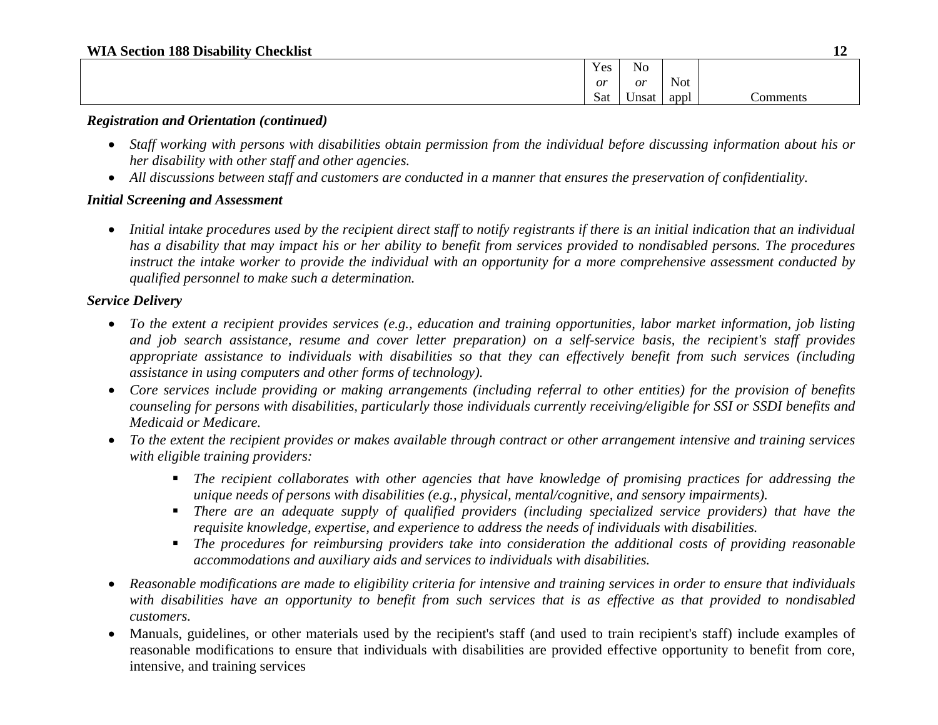#### **WIA Section 188 Disability Checklist 12**

| $\mathbf{v}$<br>$\mathbf{v}$ $\alpha$<br><b>I PC</b> | $\sim$ $\sim$<br>N <sub>O</sub> |            |          |
|------------------------------------------------------|---------------------------------|------------|----------|
| or                                                   | or                              | <b>Not</b> |          |
| $\sim$<br>Sat                                        | ∪nsat                           | appl       | :omments |

#### *Registration and Orientation (continued)*

- *Staff working with persons with disabilities obtain permission from the individual before discussing information about his or her disability with other staff and other agencies.*
- *All discussions between staff and customers are conducted in a manner that ensures the preservation of confidentiality.*

### *Initial Screening and Assessment*

 *Initial intake procedures used by the recipient direct staff to notify registrants if there is an initial indication that an individual has a disability that may impact his or her ability to benefit from services provided to nondisabled persons. The procedures instruct the intake worker to provide the individual with an opportunity for a more comprehensive assessment conducted by qualified personnel to make such a determination.*

## *Service Delivery*

- *To the extent a recipient provides services (e.g., education and training opportunities, labor market information, job listing and job search assistance, resume and cover letter preparation) on a self-service basis, the recipient's staff provides appropriate assistance to individuals with disabilities so that they can effectively benefit from such services (including assistance in using computers and other forms of technology).*
- *Core services include providing or making arrangements (including referral to other entities) for the provision of benefits counseling for persons with disabilities, particularly those individuals currently receiving/eligible for SSI or SSDI benefits and Medicaid or Medicare.*
- *To the extent the recipient provides or makes available through contract or other arrangement intensive and training services with eligible training providers:* 
	- *The recipient collaborates with other agencies that have knowledge of promising practices for addressing the unique needs of persons with disabilities (e.g., physical, mental/cognitive, and sensory impairments).*
	- *There are an adequate supply of qualified providers (including specialized service providers) that have the requisite knowledge, expertise, and experience to address the needs of individuals with disabilities.*
	- *The procedures for reimbursing providers take into consideration the additional costs of providing reasonable accommodations and auxiliary aids and services to individuals with disabilities.*
- *Reasonable modifications are made to eligibility criteria for intensive and training services in order to ensure that individuals with disabilities have an opportunity to benefit from such services that is as effective as that provided to nondisabled customers.*
- $\bullet$  Manuals, guidelines, or other materials used by the recipient's staff (and used to train recipient's staff) include examples of reasonable modifications to ensure that individuals with disabilities are provided effective opportunity to benefit from core, intensive, and training services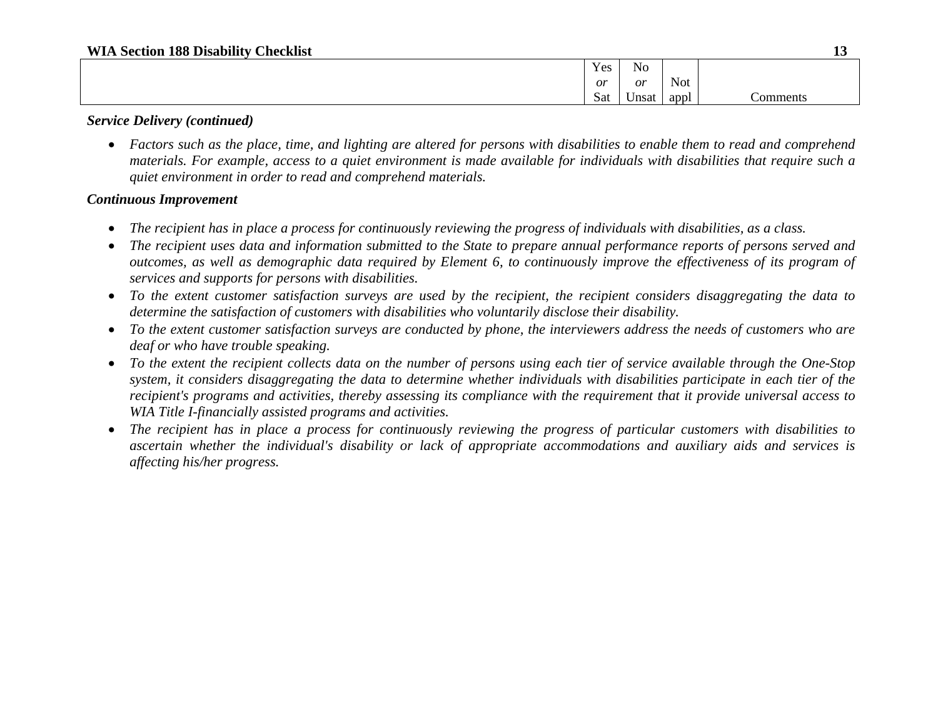| Yes       | $\mathbf{v}$<br>N <sub>0</sub> |      |          |
|-----------|--------------------------------|------|----------|
| <i>or</i> | or                             | Not  |          |
| Sat       | Unsat                          | appl | `omments |

### *Service Delivery (continued)*

 *Factors such as the place, time, and lighting are altered for persons with disabilities to enable them to read and comprehend materials. For example, access to a quiet environment is made available for individuals with disabilities that require such a quiet environment in order to read and comprehend materials.*

### *Continuous Improvement*

- $\bullet$ *The recipient has in place a process for continuously reviewing the progress of individuals with disabilities, as a class.*
- 0 *The recipient uses data and information submitted to the State to prepare annual performance reports of persons served and outcomes, as well as demographic data required by Element 6, to continuously improve the effectiveness of its program of services and supports for persons with disabilities.*
- *To the extent customer satisfaction surveys are used by the recipient, the recipient considers disaggregating the data to determine the satisfaction of customers with disabilities who voluntarily disclose their disability.*
- *To the extent customer satisfaction surveys are conducted by phone, the interviewers address the needs of customers who are deaf or who have trouble speaking.*
- *To the extent the recipient collects data on the number of persons using each tier of service available through the One-Stop system, it considers disaggregating the data to determine whether individuals with disabilities participate in each tier of the recipient's programs and activities, thereby assessing its compliance with the requirement that it provide universal access to WIA Title I-financially assisted programs and activities.*
- *The recipient has in place a process for continuously reviewing the progress of particular customers with disabilities to ascertain whether the individual's disability or lack of appropriate accommodations and auxiliary aids and services is affecting his/her progress.*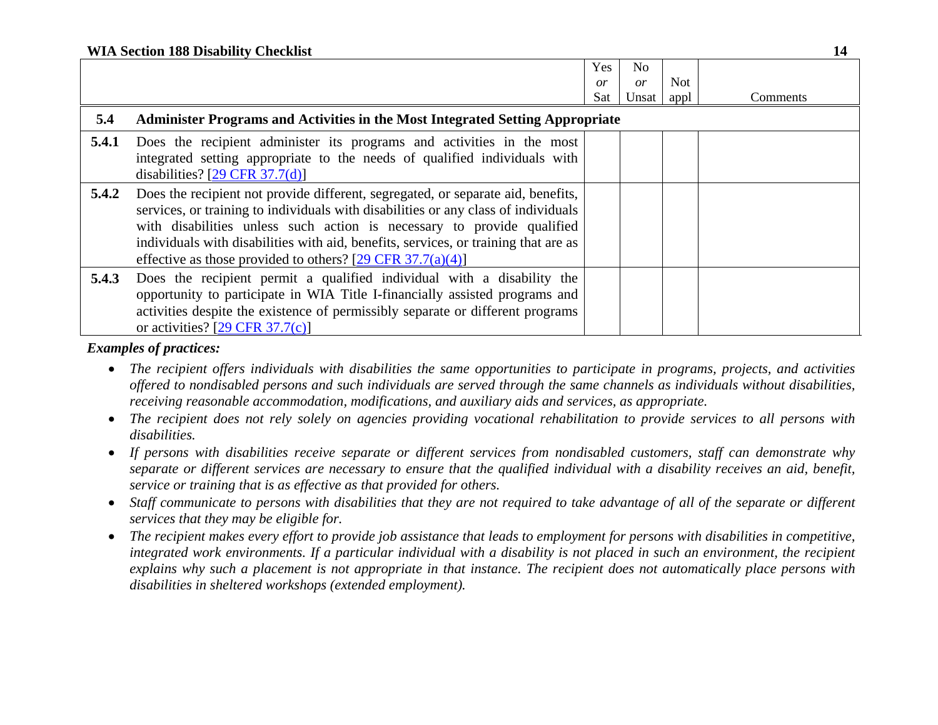|       | <b>WIA Section 188 Disability Checklist</b>                                                                                                                                                                                                                                                                                                                                                           |            |                 |            |          |  |
|-------|-------------------------------------------------------------------------------------------------------------------------------------------------------------------------------------------------------------------------------------------------------------------------------------------------------------------------------------------------------------------------------------------------------|------------|-----------------|------------|----------|--|
|       |                                                                                                                                                                                                                                                                                                                                                                                                       | Yes        | No              |            |          |  |
|       |                                                                                                                                                                                                                                                                                                                                                                                                       | or         | $\overline{or}$ | <b>Not</b> |          |  |
|       |                                                                                                                                                                                                                                                                                                                                                                                                       | <b>Sat</b> | Unsat           | appl       | Comments |  |
| 5.4   | <b>Administer Programs and Activities in the Most Integrated Setting Appropriate</b>                                                                                                                                                                                                                                                                                                                  |            |                 |            |          |  |
| 5.4.1 | Does the recipient administer its programs and activities in the most<br>integrated setting appropriate to the needs of qualified individuals with<br>disabilities? $[29 \text{ CFR } 37.7(d)]$                                                                                                                                                                                                       |            |                 |            |          |  |
| 5.4.2 | Does the recipient not provide different, segregated, or separate aid, benefits,<br>services, or training to individuals with disabilities or any class of individuals<br>with disabilities unless such action is necessary to provide qualified<br>individuals with disabilities with aid, benefits, services, or training that are as<br>effective as those provided to others? [29 CFR 37.7(a)(4)] |            |                 |            |          |  |
| 5.4.3 | Does the recipient permit a qualified individual with a disability the<br>opportunity to participate in WIA Title I-financially assisted programs and<br>activities despite the existence of permissibly separate or different programs<br>or activities? $[29 \text{ CFR } 37.7(c)]$                                                                                                                 |            |                 |            |          |  |

- *The recipient offers individuals with disabilities the same opportunities to participate in programs, projects, and activities offered to nondisabled persons and such individuals are served through the same channels as individuals without disabilities, receiving reasonable accommodation, modifications, and auxiliary aids and services, as appropriate.*
- *The recipient does not rely solely on agencies providing vocational rehabilitation to provide services to all persons with disabilities.*
- *If persons with disabilities receive separate or different services from nondisabled customers, staff can demonstrate why separate or different services are necessary to ensure that the qualified individual with a disability receives an aid, benefit, service or training that is as effective as that provided for others.*
- $\bullet$  *Staff communicate to persons with disabilities that they are not required to take advantage of all of the separate or different services that they may be eligible for.*
- The recipient makes every effort to provide job assistance that leads to employment for persons with disabilities in competitive, *integrated work environments. If a particular individual with a disability is not placed in such an environment, the recipient explains why such a placement is not appropriate in that instance. The recipient does not automatically place persons with disabilities in sheltered workshops (extended employment).*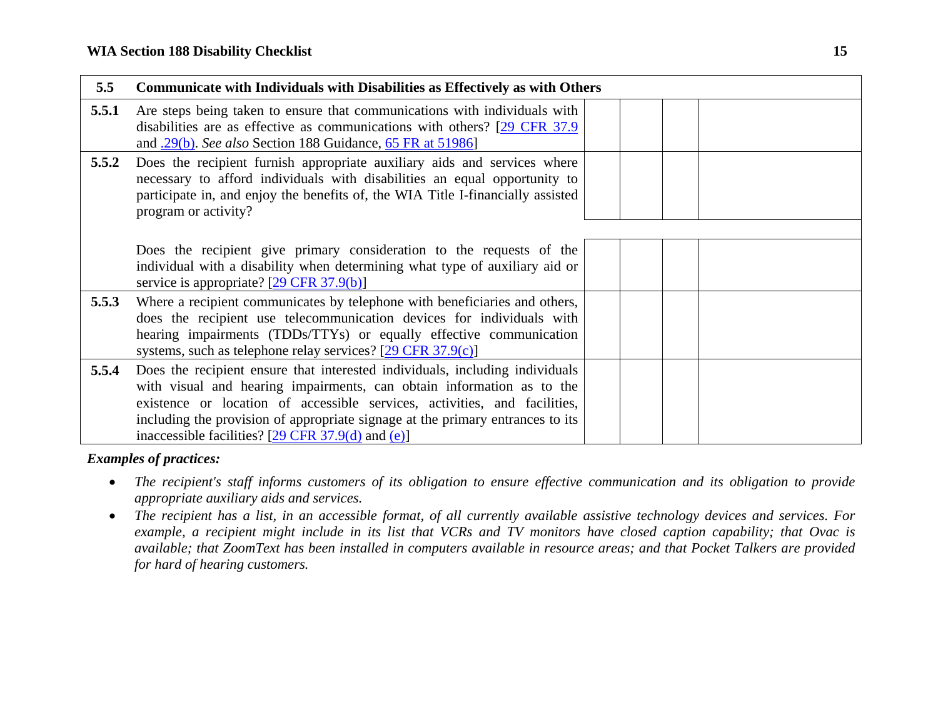| 5.5   | <b>Communicate with Individuals with Disabilities as Effectively as with Others</b>                                                                                                                                                                                                                                                                                                    |
|-------|----------------------------------------------------------------------------------------------------------------------------------------------------------------------------------------------------------------------------------------------------------------------------------------------------------------------------------------------------------------------------------------|
| 5.5.1 | Are steps being taken to ensure that communications with individuals with<br>disabilities are as effective as communications with others? [29 CFR 37.9]<br>and 29(b). See also Section 188 Guidance, 65 FR at 51986]                                                                                                                                                                   |
| 5.5.2 | Does the recipient furnish appropriate auxiliary aids and services where<br>necessary to afford individuals with disabilities an equal opportunity to<br>participate in, and enjoy the benefits of, the WIA Title I-financially assisted<br>program or activity?                                                                                                                       |
|       | Does the recipient give primary consideration to the requests of the<br>individual with a disability when determining what type of auxiliary aid or<br>service is appropriate? $[29 \text{ CFR } 37.9(b)]$                                                                                                                                                                             |
| 5.5.3 | Where a recipient communicates by telephone with beneficiaries and others,<br>does the recipient use telecommunication devices for individuals with<br>hearing impairments (TDDs/TTYs) or equally effective communication<br>systems, such as telephone relay services? $[29 \text{ CFR } 37.9(c)]$                                                                                    |
| 5.5.4 | Does the recipient ensure that interested individuals, including individuals<br>with visual and hearing impairments, can obtain information as to the<br>existence or location of accessible services, activities, and facilities,<br>including the provision of appropriate signage at the primary entrances to its<br>inaccessible facilities? $[29 \text{ CFR } 37.9(d)$ and $(e)]$ |

- The recipient's staff informs customers of its obligation to ensure effective communication and its obligation to provide *appropriate auxiliary aids and services.*
- $\bullet$  *The recipient has a list, in an accessible format, of all currently available assistive technology devices and services. For example, a recipient might include in its list that VCRs and TV monitors have closed caption capability; that Ovac is available; that ZoomText has been installed in computers available in resource areas; and that Pocket Talkers are provided for hard of hearing customers.*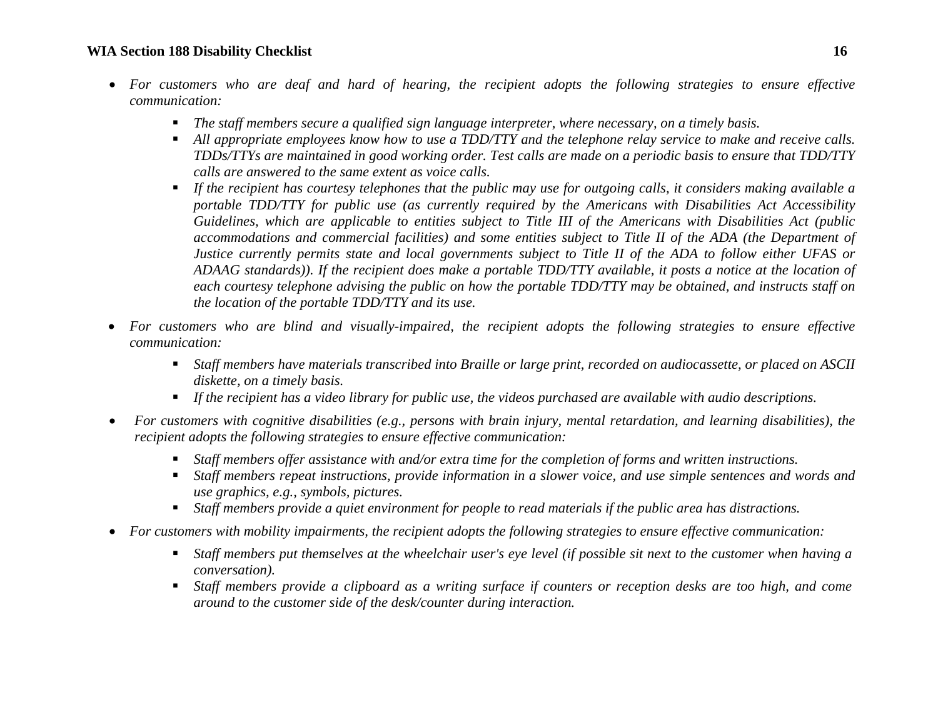#### **WIA Section 188 Disability Checklist 16**

- *For customers who are deaf and hard of hearing, the recipient adopts the following strategies to ensure effective communication:* 
	- $\blacksquare$ *The staff members secure a qualified sign language interpreter, where necessary, on a timely basis.*
	- *All appropriate employees know how to use a TDD/TTY and the telephone relay service to make and receive calls. TDDs/TTYs are maintained in good working order. Test calls are made on a periodic basis to ensure that TDD/TTY calls are answered to the same extent as voice calls.*
	- *If the recipient has courtesy telephones that the public may use for outgoing calls, it considers making available a portable TDD/TTY for public use (as currently required by the Americans with Disabilities Act Accessibility Guidelines, which are applicable to entities subject to Title III of the Americans with Disabilities Act (public accommodations and commercial facilities) and some entities subject to Title II of the ADA (the Department of Justice currently permits state and local governments subject to Title II of the ADA to follow either UFAS or ADAAG standards)). If the recipient does make a portable TDD/TTY available, it posts a notice at the location of each courtesy telephone advising the public on how the portable TDD/TTY may be obtained, and instructs staff on the location of the portable TDD/TTY and its use.*
- e *For customers who are blind and visually-impaired, the recipient adopts the following strategies to ensure effective communication:* 
	- *Staff members have materials transcribed into Braille or large print, recorded on audiocassette, or placed on ASCII diskette, on a timely basis.*
	- *If the recipient has a video library for public use, the videos purchased are available with audio descriptions.*
- 0 *For customers with cognitive disabilities (e.g., persons with brain injury, mental retardation, and learning disabilities), the recipient adopts the following strategies to ensure effective communication:* 
	- Staff members offer assistance with and/or extra time for the completion of forms and written instructions.
	- *Staff members repeat instructions, provide information in a slower voice, and use simple sentences and words and use graphics, e.g., symbols, pictures.*
	- Staff members provide a quiet environment for people to read materials if the public area has distractions.
- *For customers with mobility impairments, the recipient adopts the following strategies to ensure effective communication:* 
	- *Staff members put themselves at the wheelchair user's eye level (if possible sit next to the customer when having a conversation).*
	- *Staff members provide a clipboard as a writing surface if counters or reception desks are too high, and come around to the customer side of the desk/counter during interaction.*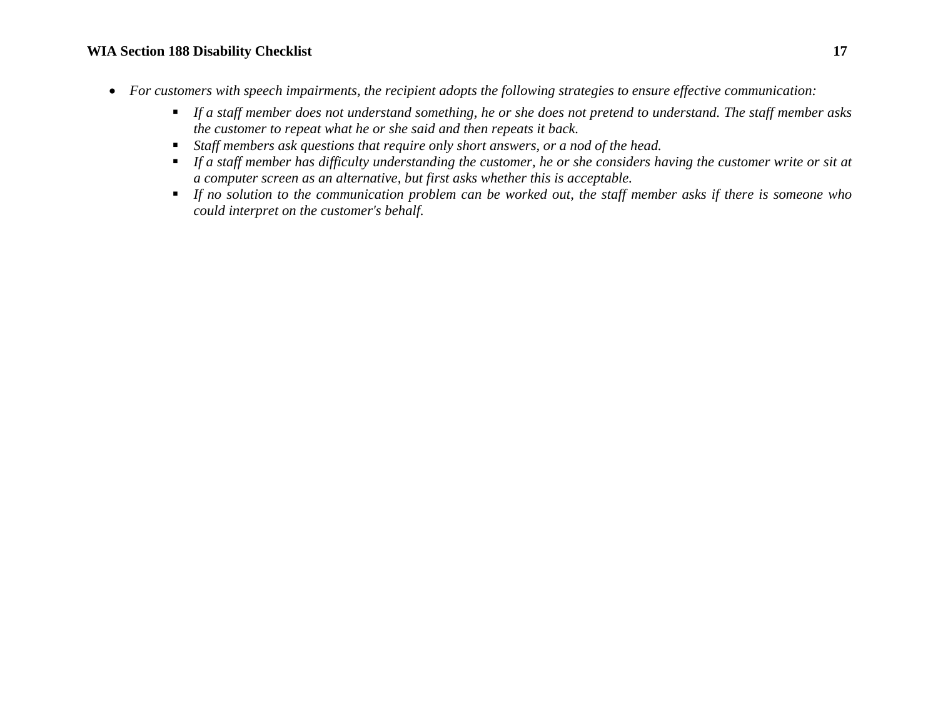## **WIA Section 188 Disability Checklist 17**

- *For customers with speech impairments, the recipient adopts the following strategies to ensure effective communication:* 
	- *If a staff member does not understand something, he or she does not pretend to understand. The staff member asks the customer to repeat what he or she said and then repeats it back.*
	- *Staff members ask questions that require only short answers, or a nod of the head.*
	- If a staff member has difficulty understanding the customer, he or she considers having the customer write or sit at *a computer screen as an alternative, but first asks whether this is acceptable.*
	- *If no solution to the communication problem can be worked out, the staff member asks if there is someone who could interpret on the customer's behalf.*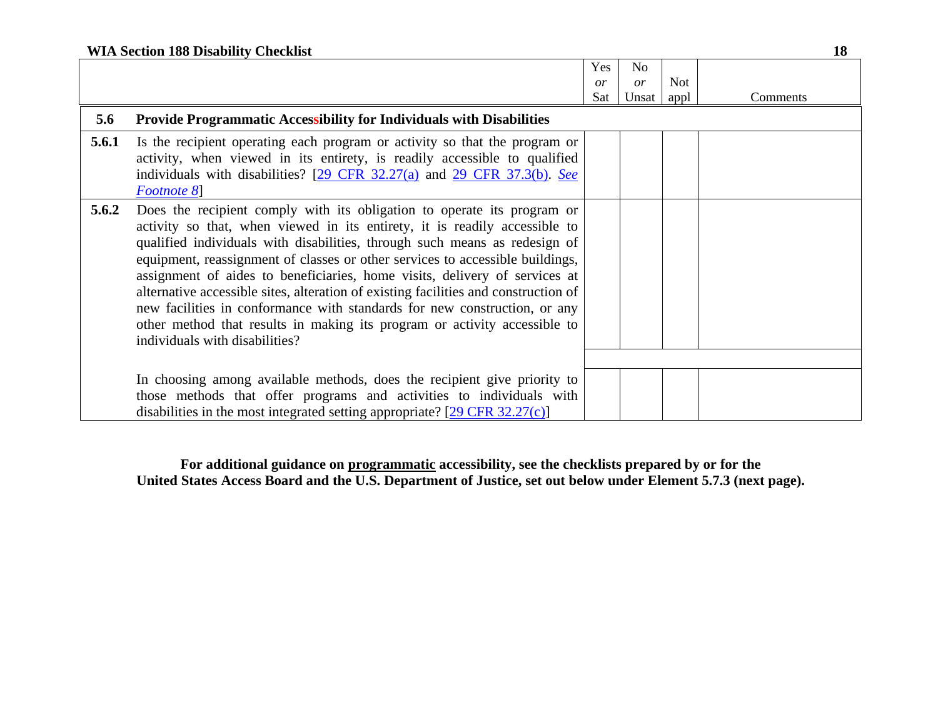| <b>WIA Section 188 Disability Checklist</b> |  |
|---------------------------------------------|--|
|---------------------------------------------|--|

|       |                                                                                                                                                                                                                                                                                                                                                                                                                                                                                                                                                                                                                                                                                       | Yes | N <sub>o</sub> |            |          |
|-------|---------------------------------------------------------------------------------------------------------------------------------------------------------------------------------------------------------------------------------------------------------------------------------------------------------------------------------------------------------------------------------------------------------------------------------------------------------------------------------------------------------------------------------------------------------------------------------------------------------------------------------------------------------------------------------------|-----|----------------|------------|----------|
|       |                                                                                                                                                                                                                                                                                                                                                                                                                                                                                                                                                                                                                                                                                       | or  | or             | <b>Not</b> |          |
|       |                                                                                                                                                                                                                                                                                                                                                                                                                                                                                                                                                                                                                                                                                       | Sat | Unsat          | appl       | Comments |
| 5.6   | <b>Provide Programmatic Accessibility for Individuals with Disabilities</b>                                                                                                                                                                                                                                                                                                                                                                                                                                                                                                                                                                                                           |     |                |            |          |
| 5.6.1 | Is the recipient operating each program or activity so that the program or<br>activity, when viewed in its entirety, is readily accessible to qualified<br>individuals with disabilities? [29 CFR 32.27(a) and 29 CFR 37.3(b). See<br>Footnote 8                                                                                                                                                                                                                                                                                                                                                                                                                                      |     |                |            |          |
| 5.6.2 | Does the recipient comply with its obligation to operate its program or<br>activity so that, when viewed in its entirety, it is readily accessible to<br>qualified individuals with disabilities, through such means as redesign of<br>equipment, reassignment of classes or other services to accessible buildings,<br>assignment of aides to beneficiaries, home visits, delivery of services at<br>alternative accessible sites, alteration of existing facilities and construction of<br>new facilities in conformance with standards for new construction, or any<br>other method that results in making its program or activity accessible to<br>individuals with disabilities? |     |                |            |          |
|       | In choosing among available methods, does the recipient give priority to<br>those methods that offer programs and activities to individuals with<br>disabilities in the most integrated setting appropriate? $[29 \text{ CFR } 32.27(c)]$                                                                                                                                                                                                                                                                                                                                                                                                                                             |     |                |            |          |

**For additional guidance on programmatic accessibility, see the checklists prepared by or for the United States Access Board and the U.S. Department of Justice, set out below under Element 5.7.3 (next page).**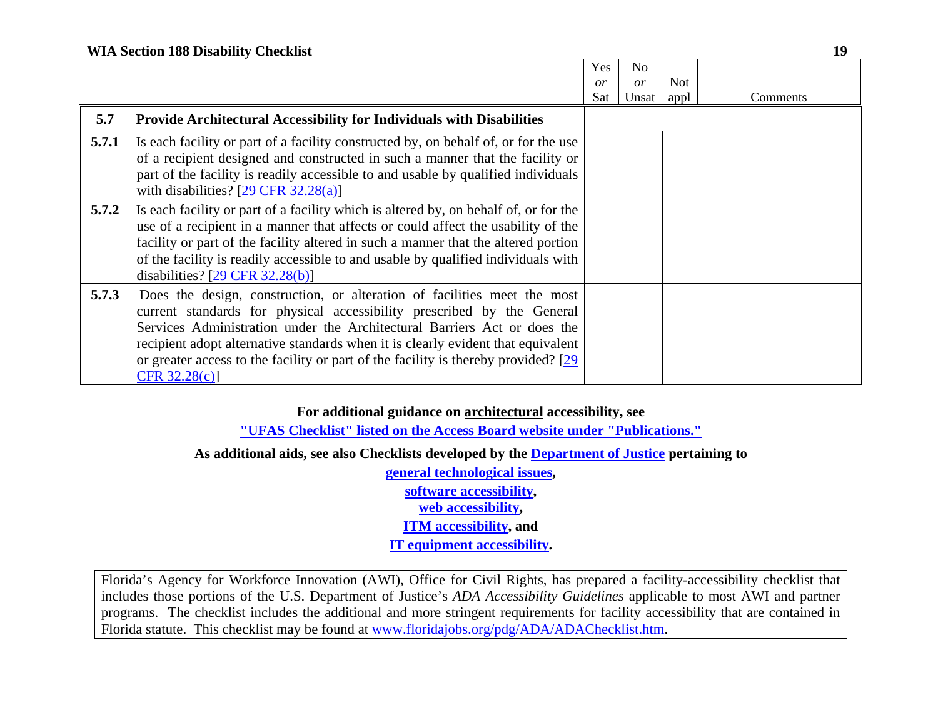| <b>WIA Section 188 Disability Checklist</b> |  |
|---------------------------------------------|--|
|---------------------------------------------|--|

|       |                                                                                                                                                                                                                                                                                                                                                                                                                              | Yes | No    |            |          |
|-------|------------------------------------------------------------------------------------------------------------------------------------------------------------------------------------------------------------------------------------------------------------------------------------------------------------------------------------------------------------------------------------------------------------------------------|-----|-------|------------|----------|
|       |                                                                                                                                                                                                                                                                                                                                                                                                                              | or  | or    | <b>Not</b> |          |
|       |                                                                                                                                                                                                                                                                                                                                                                                                                              | Sat | Unsat | appl       | Comments |
| 5.7   | Provide Architectural Accessibility for Individuals with Disabilities                                                                                                                                                                                                                                                                                                                                                        |     |       |            |          |
| 5.7.1 | Is each facility or part of a facility constructed by, on behalf of, or for the use<br>of a recipient designed and constructed in such a manner that the facility or<br>part of the facility is readily accessible to and usable by qualified individuals<br>with disabilities? $[29 \text{ CFR } 32.28(a)]$                                                                                                                 |     |       |            |          |
| 5.7.2 | Is each facility or part of a facility which is altered by, on behalf of, or for the<br>use of a recipient in a manner that affects or could affect the usability of the<br>facility or part of the facility altered in such a manner that the altered portion<br>of the facility is readily accessible to and usable by qualified individuals with<br>disabilities? $[29 \text{ CFR } 32.28(b)]$                            |     |       |            |          |
| 5.7.3 | Does the design, construction, or alteration of facilities meet the most<br>current standards for physical accessibility prescribed by the General<br>Services Administration under the Architectural Barriers Act or does the<br>recipient adopt alternative standards when it is clearly evident that equivalent<br>or greater access to the facility or part of the facility is thereby provided? $[29]$<br>CFR 32.28(c)] |     |       |            |          |

### **For additional guidance on architectural accessibility, see**

**"UFAS Checklist" listed on the Access Board website under "Publications."**

**As additional aids, see also Checklists developed by the Department of Justice pertaining to**

**general technological issues, software accessibility, web accessibility, ITM accessibility, and IT equipment accessibility.** 

Florida's Agency for Workforce Innovation (AWI), Office for Civil Rights, has prepared a facility-accessibility checklist that includes those portions of the U.S. Department of Justice's *ADA Accessibility Guidelines* applicable to most AWI and partner programs. The checklist includes the additional and more stringent requirements for facility accessibility that are contained in Florida statute. This checklist may be found at www.floridajobs.org/pdg/ADA/ADAChecklist.htm.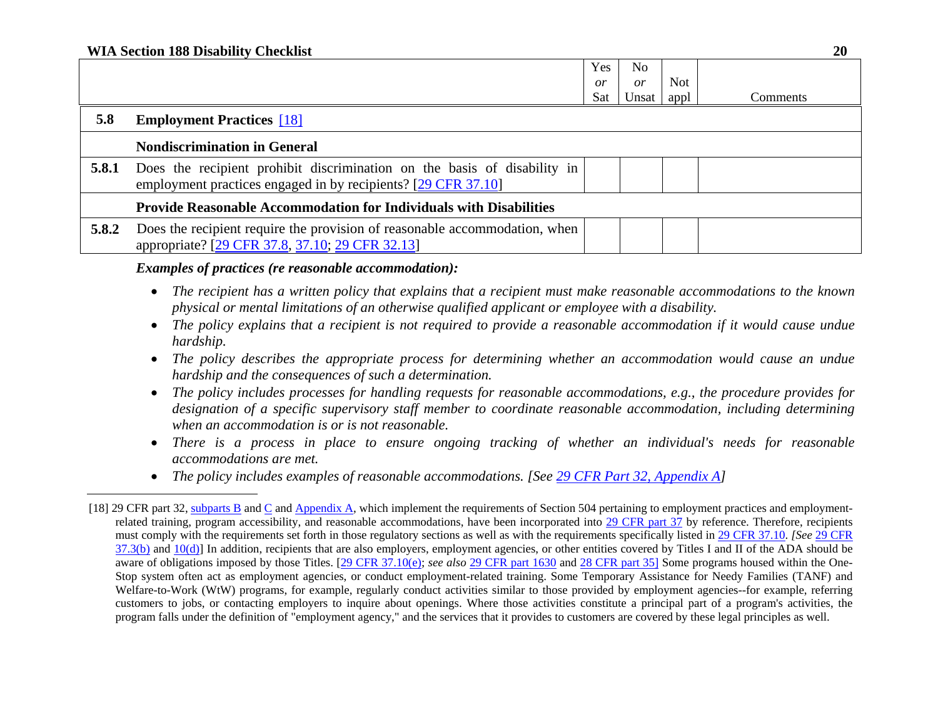#### **WIA Section 188 Disability Checklist 20**

|       |                                                                                                                                           | Yes       | No    |            |                 |
|-------|-------------------------------------------------------------------------------------------------------------------------------------------|-----------|-------|------------|-----------------|
|       |                                                                                                                                           | <i>or</i> | or    | <b>Not</b> |                 |
|       |                                                                                                                                           | Sat       | Unsat | appl       | <b>Comments</b> |
| 5.8   | <b>Employment Practices</b> [18]                                                                                                          |           |       |            |                 |
|       | <b>Nondiscrimination in General</b>                                                                                                       |           |       |            |                 |
| 5.8.1 | Does the recipient prohibit discrimination on the basis of disability in<br>employment practices engaged in by recipients? [29 CFR 37.10] |           |       |            |                 |
|       | <b>Provide Reasonable Accommodation for Individuals with Disabilities</b>                                                                 |           |       |            |                 |
| 5.8.2 | Does the recipient require the provision of reasonable accommodation, when<br>appropriate? [29 CFR 37.8, 37.10; 29 CFR 32.13]             |           |       |            |                 |

*Examples of practices (re reasonable accommodation):*

- *The recipient has a written policy that explains that a recipient must make reasonable accommodations to the known physical or mental limitations of an otherwise qualified applicant or employee with a disability.*
- **•** The policy explains that a recipient is not required to provide a reasonable accommodation if it would cause undue *hardship.*
- *The policy describes the appropriate process for determining whether an accommodation would cause an undue hardship and the consequences of such a determination.*
- *The policy includes processes for handling requests for reasonable accommodations, e.g., the procedure provides for designation of a specific supervisory staff member to coordinate reasonable accommodation, including determining when an accommodation is or is not reasonable.*
- *There is a process in place to ensure ongoing tracking of whether an individual's needs for reasonable accommodations are met.*
- *The policy includes examples of reasonable accommodations. [See 29 CFR Part 32, Appendix A]*

<sup>[18] 29</sup> CFR part 32, subparts B and C and Appendix A, which implement the requirements of Section 504 pertaining to employment practices and employmentrelated training, program accessibility, and reasonable accommodations, have been incorporated into 29 CFR part 37 by reference. Therefore, recipients must comply with the requirements set forth in those regulatory sections as well as with the requirements specifically listed in 29 CFR 37.10. *[See* 29 CFR  $37.3(b)$  and  $10(d)$ ] In addition, recipients that are also employers, employment agencies, or other entities covered by Titles I and II of the ADA should be aware of obligations imposed by those Titles. [29 CFR 37.10(e); see also 29 CFR part 1630 and 28 CFR part 35] Some programs housed within the One-Stop system often act as employment agencies, or conduct employment-related training. Some Temporary Assistance for Needy Families (TANF) and Welfare-to-Work (WtW) programs, for example, regularly conduct activities similar to those provided by employment agencies--for example, referring customers to jobs, or contacting employers to inquire about openings. Where those activities constitute a principal part of a program's activities, the program falls under the definition of "employment agency," and the services that it provides to customers are covered by these legal principles as well.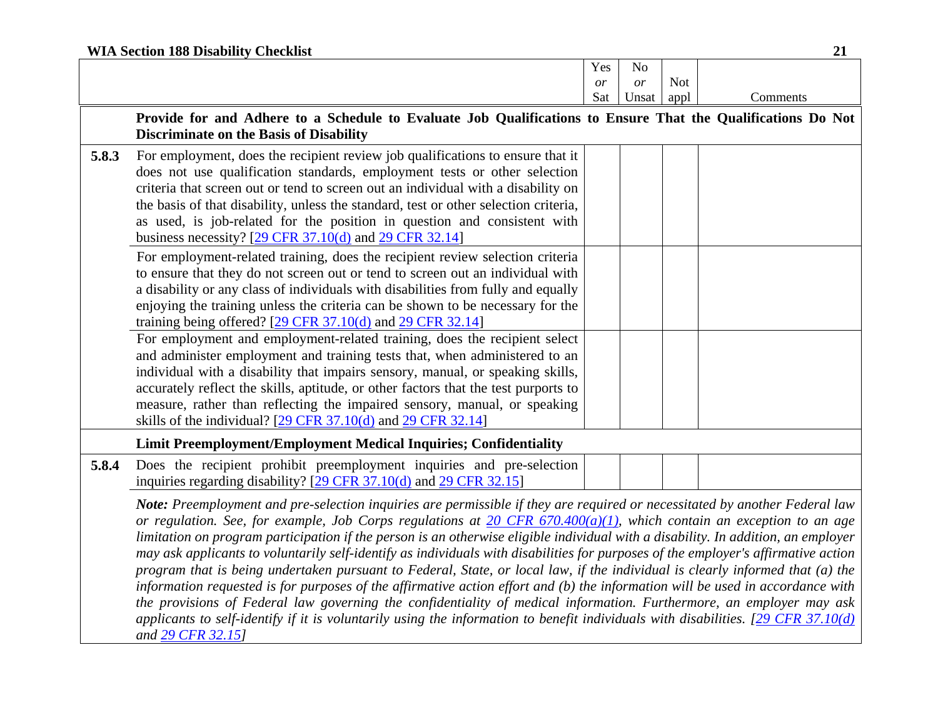|       | <b>WIA Section 188 Disability Checklist</b>                                                                                                                                                                                                                                                                                                                                                                                                                                                                                                                                                                                                                                                                                                                                                                                                                                                                                                                                                                                                                                    |     |                |            | 21       |  |  |  |  |
|-------|--------------------------------------------------------------------------------------------------------------------------------------------------------------------------------------------------------------------------------------------------------------------------------------------------------------------------------------------------------------------------------------------------------------------------------------------------------------------------------------------------------------------------------------------------------------------------------------------------------------------------------------------------------------------------------------------------------------------------------------------------------------------------------------------------------------------------------------------------------------------------------------------------------------------------------------------------------------------------------------------------------------------------------------------------------------------------------|-----|----------------|------------|----------|--|--|--|--|
|       |                                                                                                                                                                                                                                                                                                                                                                                                                                                                                                                                                                                                                                                                                                                                                                                                                                                                                                                                                                                                                                                                                | Yes | N <sub>o</sub> |            |          |  |  |  |  |
|       |                                                                                                                                                                                                                                                                                                                                                                                                                                                                                                                                                                                                                                                                                                                                                                                                                                                                                                                                                                                                                                                                                | or  | or             | <b>Not</b> |          |  |  |  |  |
|       |                                                                                                                                                                                                                                                                                                                                                                                                                                                                                                                                                                                                                                                                                                                                                                                                                                                                                                                                                                                                                                                                                | Sat | Unsat          | appl       | Comments |  |  |  |  |
|       | Provide for and Adhere to a Schedule to Evaluate Job Qualifications to Ensure That the Qualifications Do Not<br><b>Discriminate on the Basis of Disability</b>                                                                                                                                                                                                                                                                                                                                                                                                                                                                                                                                                                                                                                                                                                                                                                                                                                                                                                                 |     |                |            |          |  |  |  |  |
| 5.8.3 | For employment, does the recipient review job qualifications to ensure that it<br>does not use qualification standards, employment tests or other selection<br>criteria that screen out or tend to screen out an individual with a disability on<br>the basis of that disability, unless the standard, test or other selection criteria,<br>as used, is job-related for the position in question and consistent with<br>business necessity? $[29 \text{ CFR } 37.10(d)$ and $29 \text{ CFR } 32.14]$                                                                                                                                                                                                                                                                                                                                                                                                                                                                                                                                                                           |     |                |            |          |  |  |  |  |
|       | For employment-related training, does the recipient review selection criteria<br>to ensure that they do not screen out or tend to screen out an individual with<br>a disability or any class of individuals with disabilities from fully and equally<br>enjoying the training unless the criteria can be shown to be necessary for the<br>training being offered? $[29 \text{ CFR } 37.10 \text{ (d)}$ and $29 \text{ CFR } 32.14]$<br>For employment and employment-related training, does the recipient select<br>and administer employment and training tests that, when administered to an<br>individual with a disability that impairs sensory, manual, or speaking skills,<br>accurately reflect the skills, aptitude, or other factors that the test purports to                                                                                                                                                                                                                                                                                                        |     |                |            |          |  |  |  |  |
|       | measure, rather than reflecting the impaired sensory, manual, or speaking                                                                                                                                                                                                                                                                                                                                                                                                                                                                                                                                                                                                                                                                                                                                                                                                                                                                                                                                                                                                      |     |                |            |          |  |  |  |  |
|       | skills of the individual? $[29 \text{ CFR } 37.10(d)$ and $29 \text{ CFR } 32.14]$                                                                                                                                                                                                                                                                                                                                                                                                                                                                                                                                                                                                                                                                                                                                                                                                                                                                                                                                                                                             |     |                |            |          |  |  |  |  |
|       | Limit Preemployment/Employment Medical Inquiries; Confidentiality                                                                                                                                                                                                                                                                                                                                                                                                                                                                                                                                                                                                                                                                                                                                                                                                                                                                                                                                                                                                              |     |                |            |          |  |  |  |  |
| 5.8.4 | Does the recipient prohibit preemployment inquiries and pre-selection<br>inquiries regarding disability? [29 CFR 37.10(d) and 29 CFR 32.15]                                                                                                                                                                                                                                                                                                                                                                                                                                                                                                                                                                                                                                                                                                                                                                                                                                                                                                                                    |     |                |            |          |  |  |  |  |
|       | Note: Preemployment and pre-selection inquiries are permissible if they are required or necessitated by another Federal law<br>or regulation. See, for example, Job Corps regulations at $20$ CFR $670.400(a)(1)$ , which contain an exception to an age<br>limitation on program participation if the person is an otherwise eligible individual with a disability. In addition, an employer<br>may ask applicants to voluntarily self-identify as individuals with disabilities for purposes of the employer's affirmative action<br>program that is being undertaken pursuant to Federal, State, or local law, if the individual is clearly informed that (a) the<br>information requested is for purposes of the affirmative action effort and (b) the information will be used in accordance with<br>the provisions of Federal law governing the confidentiality of medical information. Furthermore, an employer may ask<br>applicants to self-identify if it is voluntarily using the information to benefit individuals with disabilities. $[29 \text{ CFR } 37.10(d)$ |     |                |            |          |  |  |  |  |

*and 29 CFR 32.15]*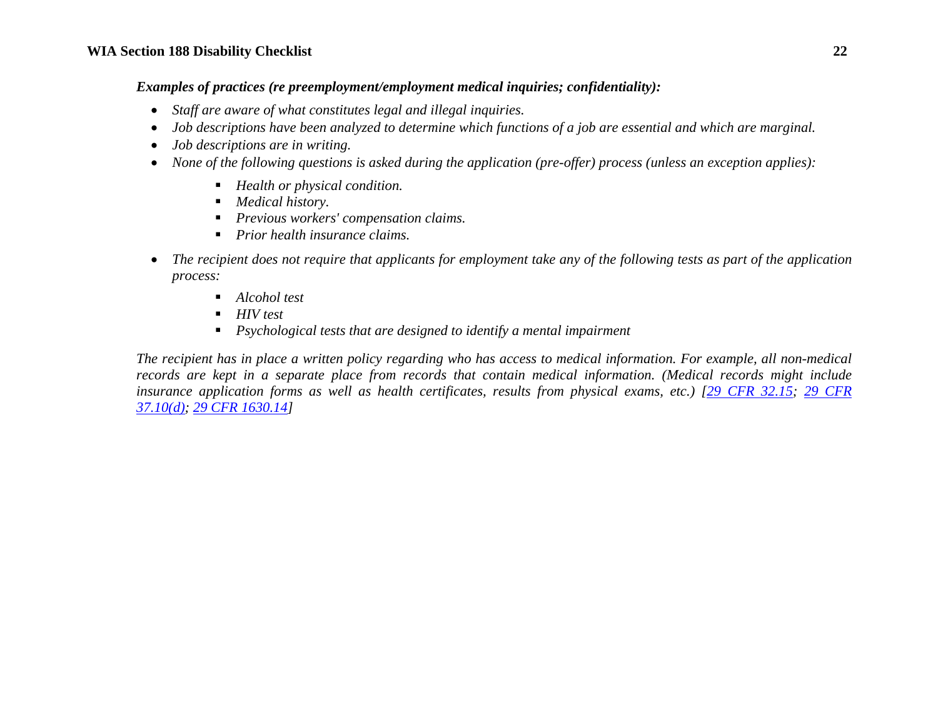*Examples of practices (re preemployment/employment medical inquiries; confidentiality):*

- *Staff are aware of what constitutes legal and illegal inquiries.*
- **•** *Job descriptions have been analyzed to determine which functions of a job are essential and which are marginal.*
- *Job descriptions are in writing.*
- *None of the following questions is asked during the application (pre-offer) process (unless an exception applies):* 
	- *Health or physical condition.*
	- *Medical history.*
	- *Previous workers' compensation claims.*
	- *Prior health insurance claims.*
- $\bullet$  *The recipient does not require that applicants for employment take any of the following tests as part of the application process:* 
	- *Alcohol test*
	- *HIV test*
	- *Psychological tests that are designed to identify a mental impairment*

*The recipient has in place a written policy regarding who has access to medical information. For example, all non-medical records are kept in a separate place from records that contain medical information. (Medical records might include insurance application forms as well as health certificates, results from physical exams, etc.) [29 CFR 32.15; 29 CFR 37.10(d); 29 CFR 1630.14]*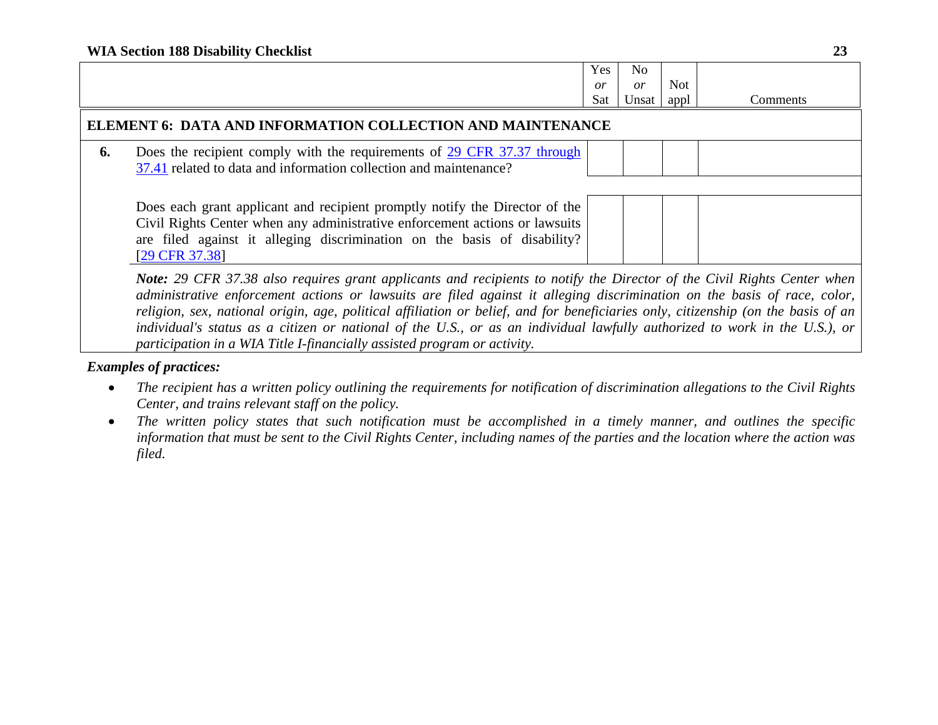|    |                                                                                                                                              | Yes | No    |            |          |
|----|----------------------------------------------------------------------------------------------------------------------------------------------|-----|-------|------------|----------|
|    |                                                                                                                                              | or  | or    | <b>Not</b> |          |
|    |                                                                                                                                              | Sat | Unsat | appl       | Comments |
|    | ELEMENT 6: DATA AND INFORMATION COLLECTION AND MAINTENANCE                                                                                   |     |       |            |          |
| 6. | Does the recipient comply with the requirements of 29 CFR 37.37 through<br>37.41 related to data and information collection and maintenance? |     |       |            |          |
|    |                                                                                                                                              |     |       |            |          |
|    | Does each grant applicant and recipient promptly notify the Director of the                                                                  |     |       |            |          |
|    | Civil Rights Center when any administrative enforcement actions or lawsuits                                                                  |     |       |            |          |
|    | are filed against it alleging discrimination on the basis of disability?                                                                     |     |       |            |          |
|    | $[29 \text{ CFR } 37.38]$                                                                                                                    |     |       |            |          |
|    | <b>Note:</b> 29 CFR 37.38 also requires grant applicants and recipients to notify the Director of the Civil Rights Center when               |     |       |            |          |
|    | administrative enforcement actions or lawsuits are filed against it alleging discrimination on the basis of race, color,                     |     |       |            |          |

*religion, sex, national origin, age, political affiliation or belief, and for beneficiaries only, citizenship (on the basis of an individual's status as a citizen or national of the U.S., or as an individual lawfully authorized to work in the U.S.), or participation in a WIA Title I-financially assisted program or activity.* 

- $\bullet$  *The recipient has a written policy outlining the requirements for notification of discrimination allegations to the Civil Rights Center, and trains relevant staff on the policy.*
- $\bullet$  *The written policy states that such notification must be accomplished in a timely manner, and outlines the specific information that must be sent to the Civil Rights Center, including names of the parties and the location where the action was filed.*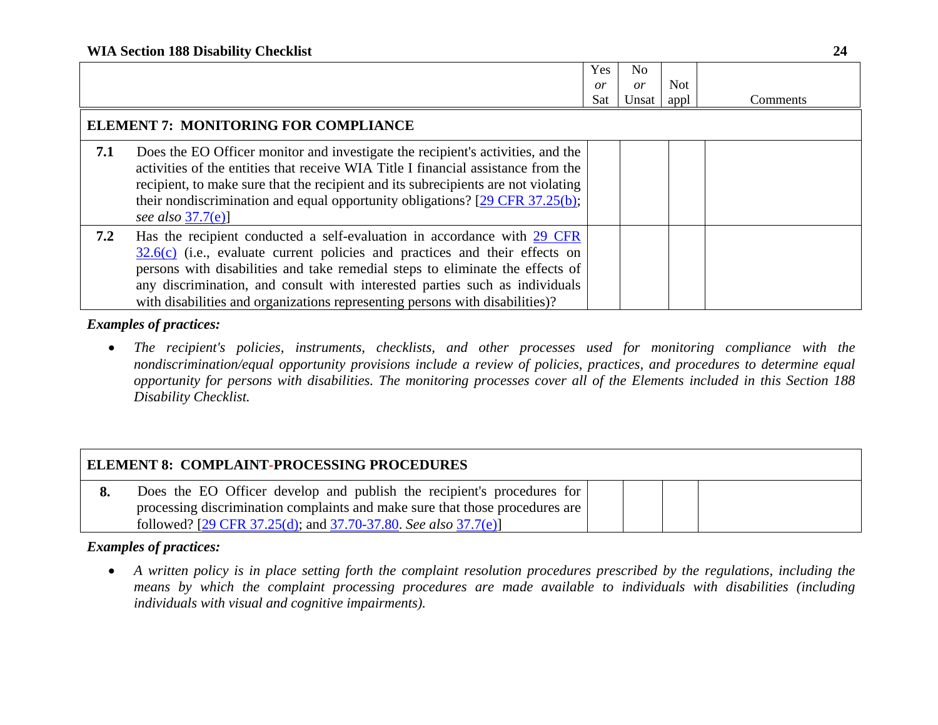|     |                                                                                                                                                                                                                                                                                                                                                                                                          | <b>Yes</b><br>or | No.<br>$\overline{or}$ | Not. |          |
|-----|----------------------------------------------------------------------------------------------------------------------------------------------------------------------------------------------------------------------------------------------------------------------------------------------------------------------------------------------------------------------------------------------------------|------------------|------------------------|------|----------|
|     |                                                                                                                                                                                                                                                                                                                                                                                                          | Sat              | Unsat                  | appl | Comments |
|     | <b>ELEMENT 7: MONITORING FOR COMPLIANCE</b>                                                                                                                                                                                                                                                                                                                                                              |                  |                        |      |          |
| 7.1 | Does the EO Officer monitor and investigate the recipient's activities, and the<br>activities of the entities that receive WIA Title I financial assistance from the<br>recipient, to make sure that the recipient and its subrecipients are not violating<br>their nondiscrimination and equal opportunity obligations? $[29 \text{ CFR } 37.25(b);$<br>see also $37.7(e)$ ]                            |                  |                        |      |          |
| 7.2 | Has the recipient conducted a self-evaluation in accordance with 29 CFR<br>$32.6(c)$ (i.e., evaluate current policies and practices and their effects on<br>persons with disabilities and take remedial steps to eliminate the effects of<br>any discrimination, and consult with interested parties such as individuals<br>with disabilities and organizations representing persons with disabilities)? |                  |                        |      |          |

 *The recipient's policies, instruments, checklists, and other processes used for monitoring compliance with the nondiscrimination/equal opportunity provisions include a review of policies, practices, and procedures to determine equal opportunity for persons with disabilities. The monitoring processes cover all of the Elements included in this Section 188 Disability Checklist.* 

| <b>ELEMENT 8: COMPLAINT-PROCESSING PROCEDURES</b> |                                                                              |  |  |  |  |
|---------------------------------------------------|------------------------------------------------------------------------------|--|--|--|--|
|                                                   | Does the EO Officer develop and publish the recipient's procedures for       |  |  |  |  |
|                                                   | processing discrimination complaints and make sure that those procedures are |  |  |  |  |
|                                                   | followed? [29 CFR 37.25(d); and 37.70-37.80. See also 37.7(e)]               |  |  |  |  |

## *Examples of practices:*

 $\bullet$  *A written policy is in place setting forth the complaint resolution procedures prescribed by the regulations, including the means by which the complaint processing procedures are made available to individuals with disabilities (including individuals with visual and cognitive impairments).*